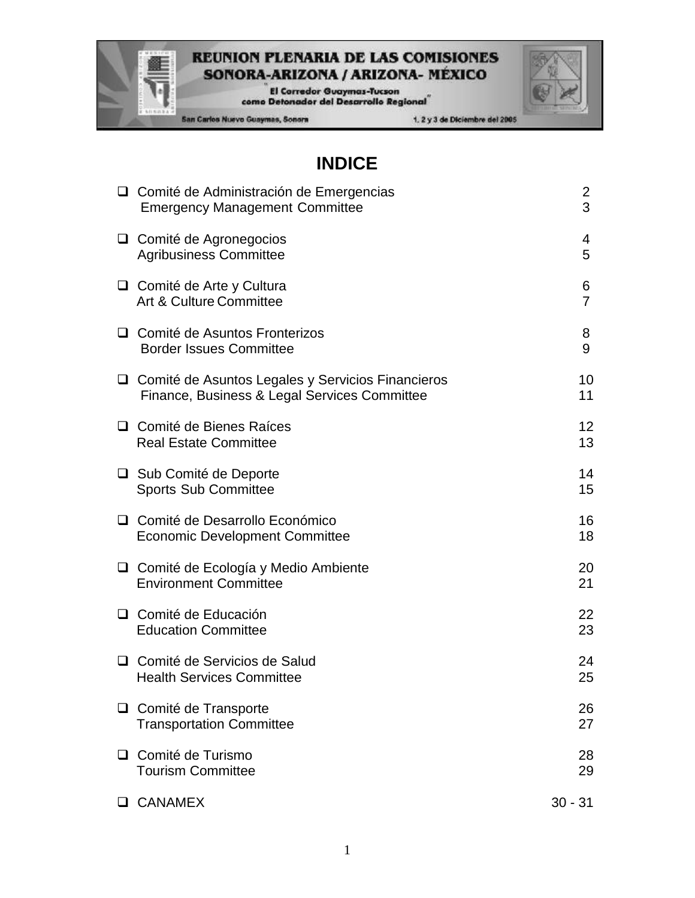El Corredor Guaymas-Tucson<br>como Detonador del Desarrollo Regional

San Carlos Nuevo Guaymas, Sonora

# **INDICE**

| □ Comité de Administración de Emergencias<br><b>Emergency Management Committee</b>                  | $\overline{2}$<br>3 |
|-----------------------------------------------------------------------------------------------------|---------------------|
| $\Box$ Comité de Agronegocios<br><b>Agribusiness Committee</b>                                      | 4<br>5              |
| $\Box$ Comité de Arte y Cultura<br>Art & Culture Committee                                          | 6<br>$\overline{7}$ |
| □ Comité de Asuntos Fronterizos<br><b>Border Issues Committee</b>                                   | 8<br>9              |
| O Comité de Asuntos Legales y Servicios Financieros<br>Finance, Business & Legal Services Committee | 10<br>11            |
| □ Comité de Bienes Raíces<br><b>Real Estate Committee</b>                                           | 12<br>13            |
| □ Sub Comité de Deporte<br><b>Sports Sub Committee</b>                                              | 14<br>15            |
| □ Comité de Desarrollo Económico<br><b>Economic Development Committee</b>                           | 16<br>18            |
| $\Box$ Comité de Ecología y Medio Ambiente<br><b>Environment Committee</b>                          | 20<br>21            |
| $\Box$ Comité de Educación<br><b>Education Committee</b>                                            | 22<br>23            |
| □ Comité de Servicios de Salud<br><b>Health Services Committee</b>                                  | 24<br>25            |
| □ Comité de Transporte<br><b>Transportation Committee</b>                                           | 26<br>27            |
| □ Comité de Turismo<br><b>Tourism Committee</b>                                                     | 28<br>29            |
| <b>Q CANAMEX</b>                                                                                    | $30 - 31$           |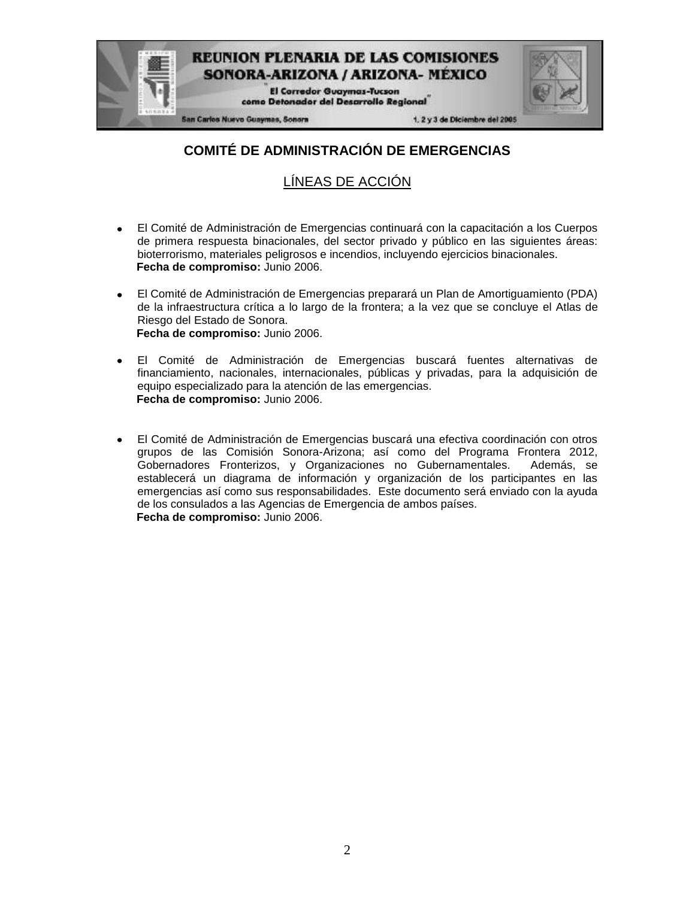

# **COMITÉ DE ADMINISTRACIÓN DE EMERGENCIAS**

## LÍNEAS DE ACCIÓN

- El Comité de Administración de Emergencias continuará con la capacitación a los Cuerpos de primera respuesta binacionales, del sector privado y público en las siguientes áreas: bioterrorismo, materiales peligrosos e incendios, incluyendo ejercicios binacionales. **Fecha de compromiso:** Junio 2006.
- El Comité de Administración de Emergencias preparará un Plan de Amortiguamiento (PDA)  $\bullet$ de la infraestructura crítica a lo largo de la frontera; a la vez que se concluye el Atlas de Riesgo del Estado de Sonora. **Fecha de compromiso:** Junio 2006.
- El Comité de Administración de Emergencias buscará fuentes alternativas de financiamiento, nacionales, internacionales, públicas y privadas, para la adquisición de equipo especializado para la atención de las emergencias. **Fecha de compromiso:** Junio 2006.
- El Comité de Administración de Emergencias buscará una efectiva coordinación con otros  $\bullet$ grupos de las Comisión Sonora-Arizona; así como del Programa Frontera 2012, Gobernadores Fronterizos, y Organizaciones no Gubernamentales. Además, se establecerá un diagrama de información y organización de los participantes en las emergencias así como sus responsabilidades. Este documento será enviado con la ayuda de los consulados a las Agencias de Emergencia de ambos países. **Fecha de compromiso:** Junio 2006.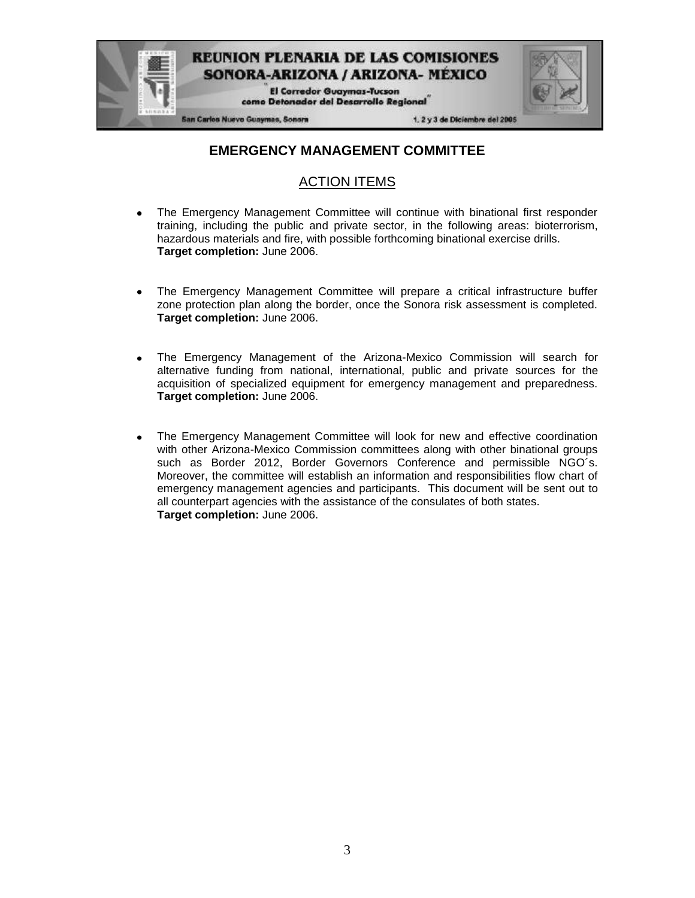

### **EMERGENCY MANAGEMENT COMMITTEE**

### ACTION ITEMS

- The Emergency Management Committee will continue with binational first responder training, including the public and private sector, in the following areas: bioterrorism, hazardous materials and fire, with possible forthcoming binational exercise drills. **Target completion:** June 2006.
- The Emergency Management Committee will prepare a critical infrastructure buffer zone protection plan along the border, once the Sonora risk assessment is completed. **Target completion:** June 2006.
- The Emergency Management of the Arizona-Mexico Commission will search for alternative funding from national, international, public and private sources for the acquisition of specialized equipment for emergency management and preparedness. **Target completion:** June 2006.
- The Emergency Management Committee will look for new and effective coordination with other Arizona-Mexico Commission committees along with other binational groups such as Border 2012, Border Governors Conference and permissible NGO´s. Moreover, the committee will establish an information and responsibilities flow chart of emergency management agencies and participants. This document will be sent out to all counterpart agencies with the assistance of the consulates of both states. **Target completion:** June 2006.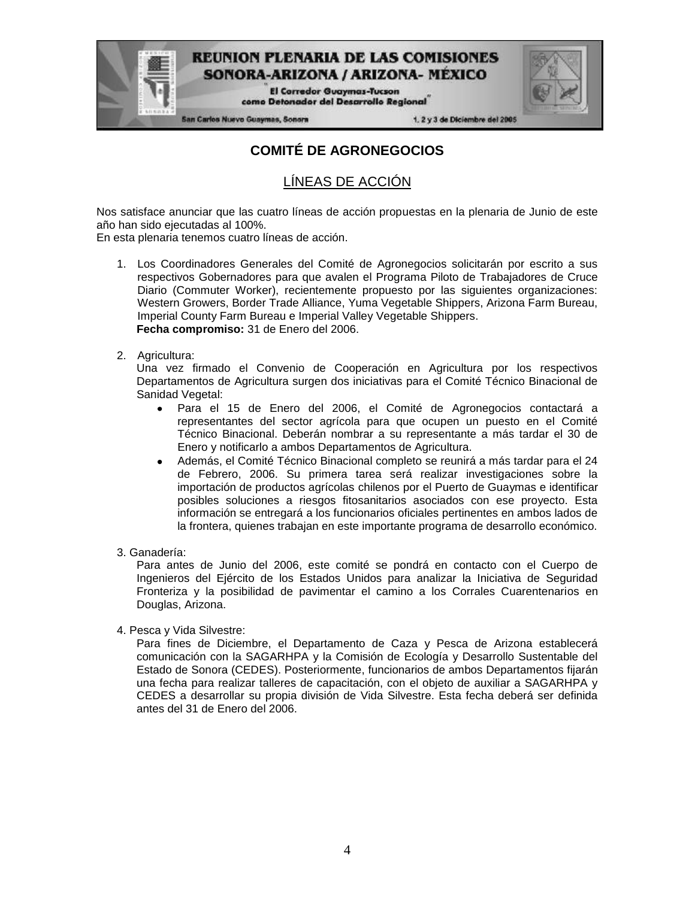**El Corredor Guaymas-Tucson** como Detonador del Desarrollo Regional

San Carlos Nuevo Guaymas, Sonora

1. 2 y 3 de Diciembre del 2005

## **COMITÉ DE AGRONEGOCIOS**

### LÍNEAS DE ACCIÓN

Nos satisface anunciar que las cuatro líneas de acción propuestas en la plenaria de Junio de este año han sido ejecutadas al 100%.

En esta plenaria tenemos cuatro líneas de acción.

- 1. Los Coordinadores Generales del Comité de Agronegocios solicitarán por escrito a sus respectivos Gobernadores para que avalen el Programa Piloto de Trabajadores de Cruce Diario (Commuter Worker), recientemente propuesto por las siguientes organizaciones: Western Growers, Border Trade Alliance, Yuma Vegetable Shippers, Arizona Farm Bureau, Imperial County Farm Bureau e Imperial Valley Vegetable Shippers. **Fecha compromiso:** 31 de Enero del 2006.
- 2. Agricultura:

Una vez firmado el Convenio de Cooperación en Agricultura por los respectivos Departamentos de Agricultura surgen dos iniciativas para el Comité Técnico Binacional de Sanidad Vegetal:

- Para el 15 de Enero del 2006, el Comité de Agronegocios contactará a representantes del sector agrícola para que ocupen un puesto en el Comité Técnico Binacional. Deberán nombrar a su representante a más tardar el 30 de Enero y notificarlo a ambos Departamentos de Agricultura.
- Además, el Comité Técnico Binacional completo se reunirá a más tardar para el 24 de Febrero, 2006. Su primera tarea será realizar investigaciones sobre la importación de productos agrícolas chilenos por el Puerto de Guaymas e identificar posibles soluciones a riesgos fitosanitarios asociados con ese proyecto. Esta información se entregará a los funcionarios oficiales pertinentes en ambos lados de la frontera, quienes trabajan en este importante programa de desarrollo económico.
- 3. Ganadería:

Para antes de Junio del 2006, este comité se pondrá en contacto con el Cuerpo de Ingenieros del Ejército de los Estados Unidos para analizar la Iniciativa de Seguridad Fronteriza y la posibilidad de pavimentar el camino a los Corrales Cuarentenarios en Douglas, Arizona.

4. Pesca y Vida Silvestre:

Para fines de Diciembre, el Departamento de Caza y Pesca de Arizona establecerá comunicación con la SAGARHPA y la Comisión de Ecología y Desarrollo Sustentable del Estado de Sonora (CEDES). Posteriormente, funcionarios de ambos Departamentos fijarán una fecha para realizar talleres de capacitación, con el objeto de auxiliar a SAGARHPA y CEDES a desarrollar su propia división de Vida Silvestre. Esta fecha deberá ser definida antes del 31 de Enero del 2006.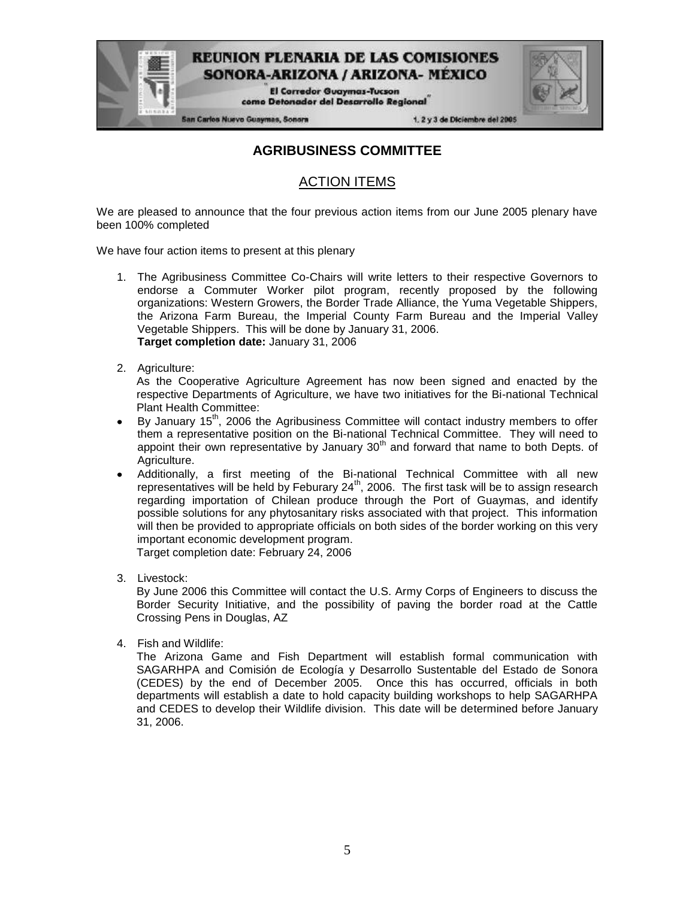> **El Corredor Guaymas-Tucson** como Detonador del Desarrollo Regional

San Carlos Nuevo Guaymas, Sonora

1. 2 y 3 de Diciembre del 2005

### **AGRIBUSINESS COMMITTEE**

### ACTION ITEMS

We are pleased to announce that the four previous action items from our June 2005 plenary have been 100% completed

We have four action items to present at this plenary

- 1. The Agribusiness Committee Co-Chairs will write letters to their respective Governors to endorse a Commuter Worker pilot program, recently proposed by the following organizations: Western Growers, the Border Trade Alliance, the Yuma Vegetable Shippers, the Arizona Farm Bureau, the Imperial County Farm Bureau and the Imperial Valley Vegetable Shippers. This will be done by January 31, 2006. **Target completion date:** January 31, 2006
- 2. Agriculture:

As the Cooperative Agriculture Agreement has now been signed and enacted by the respective Departments of Agriculture, we have two initiatives for the Bi-national Technical Plant Health Committee:

- By January 15<sup>th</sup>, 2006 the Agribusiness Committee will contact industry members to offer them a representative position on the Bi-national Technical Committee. They will need to appoint their own representative by January  $30<sup>th</sup>$  and forward that name to both Depts. of Agriculture.
- Additionally, a first meeting of the Bi-national Technical Committee with all new representatives will be held by Feburary 24<sup>th</sup>, 2006. The first task will be to assign research regarding importation of Chilean produce through the Port of Guaymas, and identify possible solutions for any phytosanitary risks associated with that project. This information will then be provided to appropriate officials on both sides of the border working on this very important economic development program. Target completion date: February 24, 2006

Crossing Pens in Douglas, AZ

3. Livestock: By June 2006 this Committee will contact the U.S. Army Corps of Engineers to discuss the Border Security Initiative, and the possibility of paving the border road at the Cattle

4. Fish and Wildlife:

The Arizona Game and Fish Department will establish formal communication with SAGARHPA and Comisión de Ecología y Desarrollo Sustentable del Estado de Sonora (CEDES) by the end of December 2005. Once this has occurred, officials in both departments will establish a date to hold capacity building workshops to help SAGARHPA and CEDES to develop their Wildlife division. This date will be determined before January 31, 2006.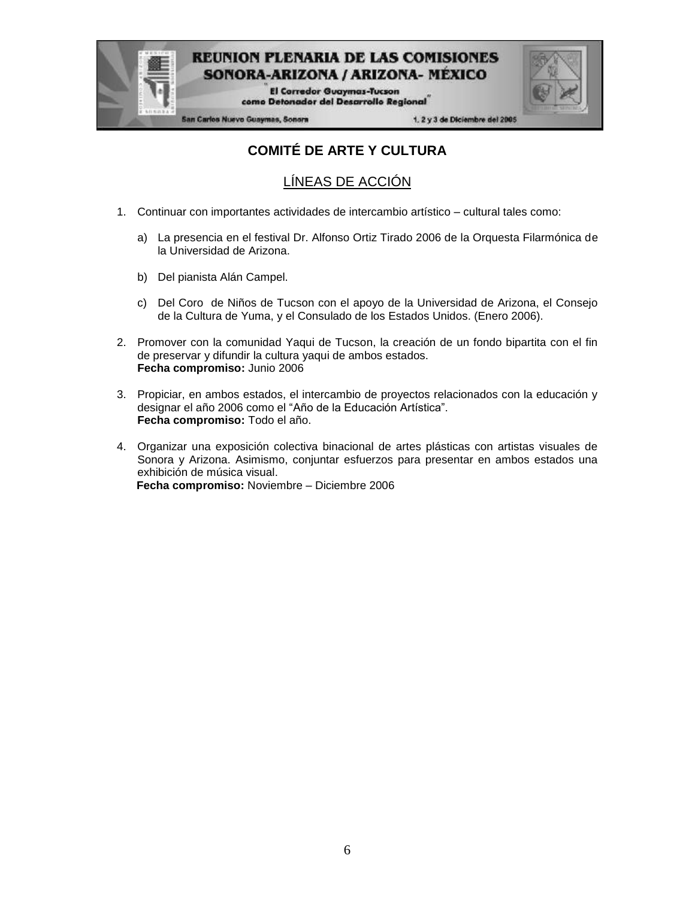

**El Corredor Guaymas-Tucson** como Detonador del Desarrollo Regional

**San Carlos Nuevo Guaymas, Sonora** 

1. 2 y 3 de Diciembre del 2005

# **COMITÉ DE ARTE Y CULTURA**

## LÍNEAS DE ACCIÓN

- 1. Continuar con importantes actividades de intercambio artístico cultural tales como:
	- a) La presencia en el festival Dr. Alfonso Ortiz Tirado 2006 de la Orquesta Filarmónica de la Universidad de Arizona.
	- b) Del pianista Alán Campel.
	- c) Del Coro de Niños de Tucson con el apoyo de la Universidad de Arizona, el Consejo de la Cultura de Yuma, y el Consulado de los Estados Unidos. (Enero 2006).
- 2. Promover con la comunidad Yaqui de Tucson, la creación de un fondo bipartita con el fin de preservar y difundir la cultura yaqui de ambos estados. **Fecha compromiso:** Junio 2006
- 3. Propiciar, en ambos estados, el intercambio de proyectos relacionados con la educación y designar el año 2006 como el "Año de la Educación Artística". **Fecha compromiso:** Todo el año.
- 4. Organizar una exposición colectiva binacional de artes plásticas con artistas visuales de Sonora y Arizona. Asimismo, conjuntar esfuerzos para presentar en ambos estados una exhibición de música visual. **Fecha compromiso:** Noviembre – Diciembre 2006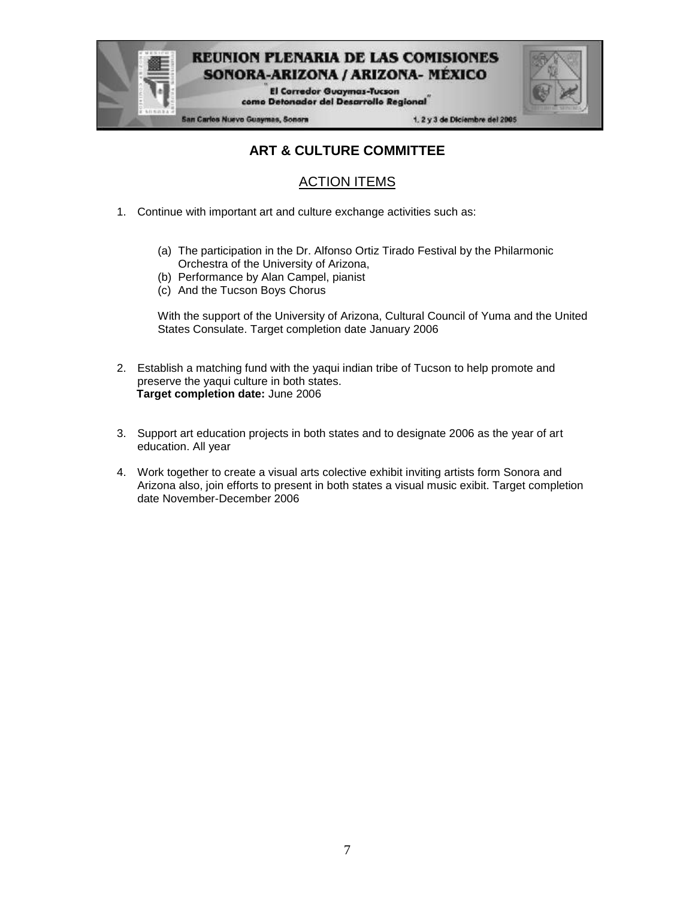

**El Corredor Guaymas-Tucson** como Detonador del Desarrollo Regional

**San Carlos Nuevo Guaymas, Sonora** 

1. 2 y 3 de Diciembre del 2005

## **ART & CULTURE COMMITTEE**

## ACTION ITEMS

- 1. Continue with important art and culture exchange activities such as:
	- (a) The participation in the Dr. Alfonso Ortiz Tirado Festival by the Philarmonic Orchestra of the University of Arizona,
	- (b) Performance by Alan Campel, pianist
	- (c) And the Tucson Boys Chorus

With the support of the University of Arizona, Cultural Council of Yuma and the United States Consulate. Target completion date January 2006

- 2. Establish a matching fund with the yaqui indian tribe of Tucson to help promote and preserve the yaqui culture in both states. **Target completion date:** June 2006
- 3. Support art education projects in both states and to designate 2006 as the year of art education. All year
- 4. Work together to create a visual arts colective exhibit inviting artists form Sonora and Arizona also, join efforts to present in both states a visual music exibit. Target completion date November-December 2006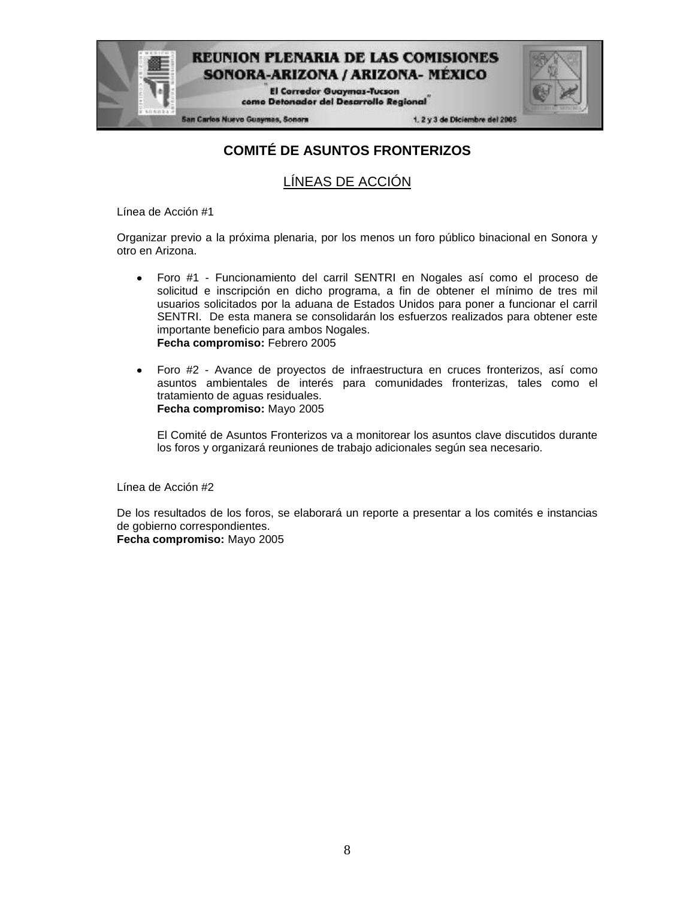

**San Carlos Nuevo Guaymas, Sonora** 

1. 2 y 3 de Diciembre del 2005

## **COMITÉ DE ASUNTOS FRONTERIZOS**

SONORA-ARIZONA / ARIZONA- MEXICO **El Corredor Guaymas-Tucson** como Detonador del Desarrollo Regional

### LÍNEAS DE ACCIÓN

Línea de Acción #1

Organizar previo a la próxima plenaria, por los menos un foro público binacional en Sonora y otro en Arizona.

- Foro #1 Funcionamiento del carril SENTRI en Nogales así como el proceso de  $\bullet$ solicitud e inscripción en dicho programa, a fin de obtener el mínimo de tres mil usuarios solicitados por la aduana de Estados Unidos para poner a funcionar el carril SENTRI. De esta manera se consolidarán los esfuerzos realizados para obtener este importante beneficio para ambos Nogales. **Fecha compromiso:** Febrero 2005
- Foro #2 Avance de proyectos de infraestructura en cruces fronterizos, así como  $\bullet$ asuntos ambientales de interés para comunidades fronterizas, tales como el tratamiento de aguas residuales. **Fecha compromiso:** Mayo 2005

El Comité de Asuntos Fronterizos va a monitorear los asuntos clave discutidos durante los foros y organizará reuniones de trabajo adicionales según sea necesario.

Línea de Acción #2

De los resultados de los foros, se elaborará un reporte a presentar a los comités e instancias de gobierno correspondientes.

**Fecha compromiso:** Mayo 2005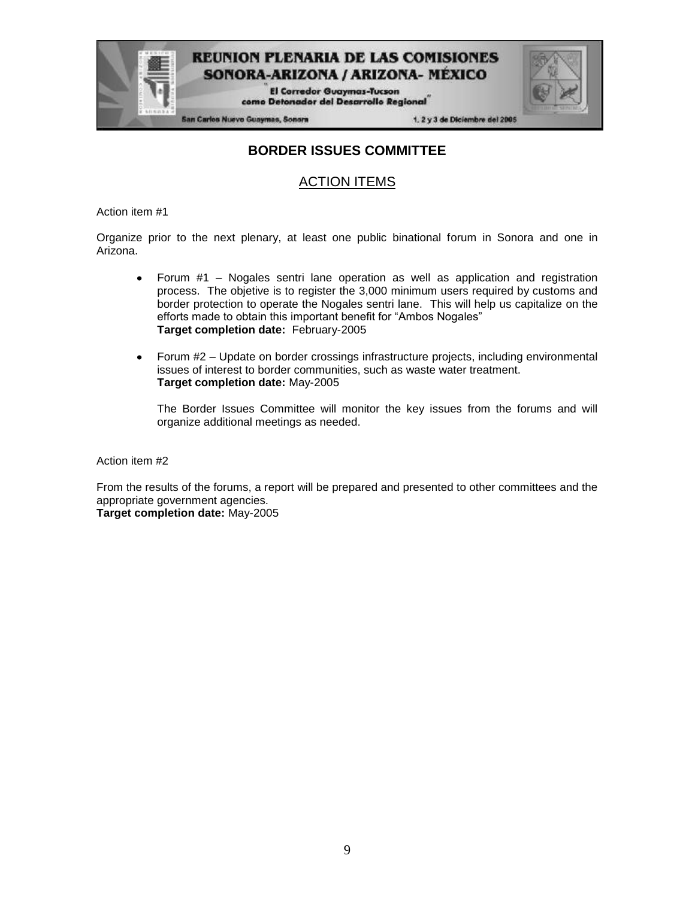

**El Corredor Guaymas-Tucson** como Detonador del Desarrollo Regional

**San Carlos Nuevo Guaymas, Sonora** 

1. 2 y 3 de Diciembre del 2005

### **BORDER ISSUES COMMITTEE**

### ACTION ITEMS

Action item #1

Organize prior to the next plenary, at least one public binational forum in Sonora and one in Arizona.

- Forum #1 Nogales sentri lane operation as well as application and registration  $\bullet$ process. The objetive is to register the 3,000 minimum users required by customs and border protection to operate the Nogales sentri lane. This will help us capitalize on the efforts made to obtain this important benefit for "Ambos Nogales" **Target completion date:** February-2005
- Forum #2 Update on border crossings infrastructure projects, including environmental  $\bullet$ issues of interest to border communities, such as waste water treatment. **Target completion date:** May-2005

The Border Issues Committee will monitor the key issues from the forums and will organize additional meetings as needed.

Action item #2

From the results of the forums, a report will be prepared and presented to other committees and the appropriate government agencies.

**Target completion date:** May-2005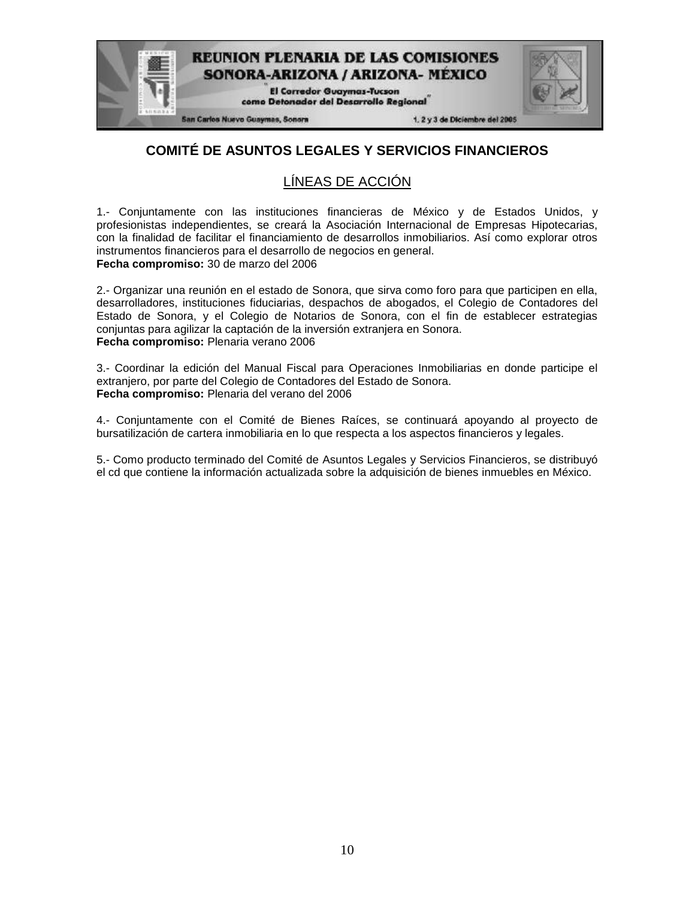

## **COMITÉ DE ASUNTOS LEGALES Y SERVICIOS FINANCIEROS**

## LÍNEAS DE ACCIÓN

1.- Conjuntamente con las instituciones financieras de México y de Estados Unidos, y profesionistas independientes, se creará la Asociación Internacional de Empresas Hipotecarias, con la finalidad de facilitar el financiamiento de desarrollos inmobiliarios. Así como explorar otros instrumentos financieros para el desarrollo de negocios en general. **Fecha compromiso:** 30 de marzo del 2006

2.- Organizar una reunión en el estado de Sonora, que sirva como foro para que participen en ella, desarrolladores, instituciones fiduciarias, despachos de abogados, el Colegio de Contadores del Estado de Sonora, y el Colegio de Notarios de Sonora, con el fin de establecer estrategias conjuntas para agilizar la captación de la inversión extranjera en Sonora. **Fecha compromiso:** Plenaria verano 2006

3.- Coordinar la edición del Manual Fiscal para Operaciones Inmobiliarias en donde participe el extranjero, por parte del Colegio de Contadores del Estado de Sonora. **Fecha compromiso:** Plenaria del verano del 2006

4.- Conjuntamente con el Comité de Bienes Raíces, se continuará apoyando al proyecto de bursatilización de cartera inmobiliaria en lo que respecta a los aspectos financieros y legales.

5.- Como producto terminado del Comité de Asuntos Legales y Servicios Financieros, se distribuyó el cd que contiene la información actualizada sobre la adquisición de bienes inmuebles en México.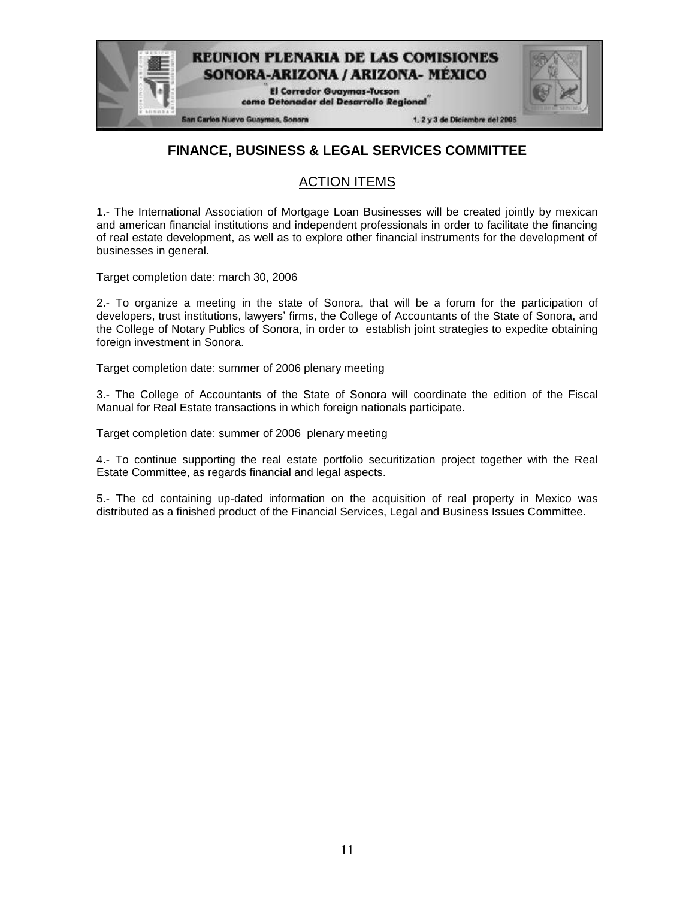

### **FINANCE, BUSINESS & LEGAL SERVICES COMMITTEE**

### ACTION ITEMS

1.- The International Association of Mortgage Loan Businesses will be created jointly by mexican and american financial institutions and independent professionals in order to facilitate the financing of real estate development, as well as to explore other financial instruments for the development of businesses in general.

Target completion date: march 30, 2006

2.- To organize a meeting in the state of Sonora, that will be a forum for the participation of developers, trust institutions, lawyers' firms, the College of Accountants of the State of Sonora, and the College of Notary Publics of Sonora, in order to establish joint strategies to expedite obtaining foreign investment in Sonora.

Target completion date: summer of 2006 plenary meeting

3.- The College of Accountants of the State of Sonora will coordinate the edition of the Fiscal Manual for Real Estate transactions in which foreign nationals participate.

Target completion date: summer of 2006 plenary meeting

4.- To continue supporting the real estate portfolio securitization project together with the Real Estate Committee, as regards financial and legal aspects.

5.- The cd containing up-dated information on the acquisition of real property in Mexico was distributed as a finished product of the Financial Services, Legal and Business Issues Committee.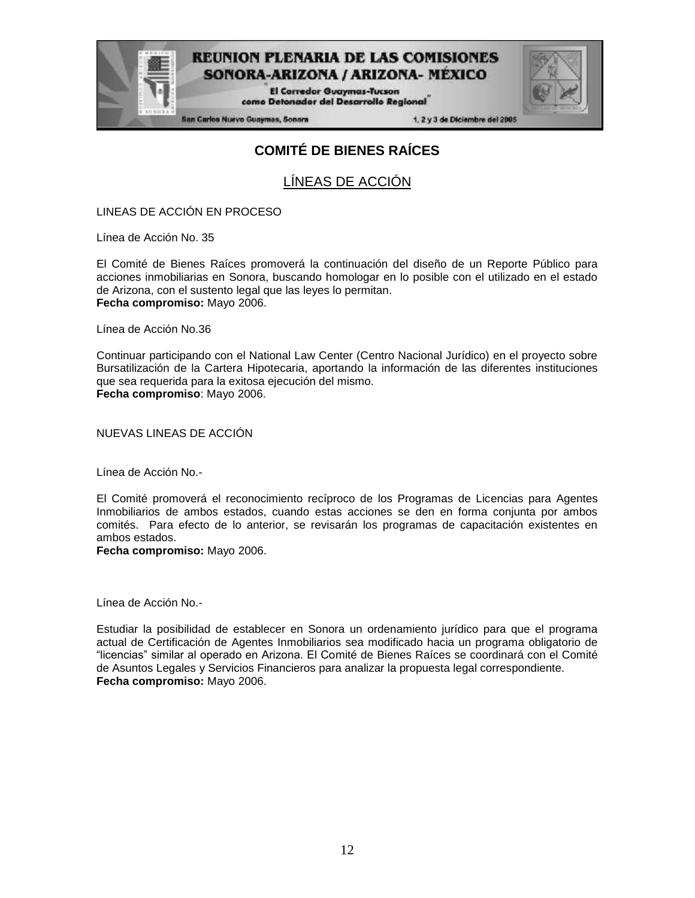

**El Corredor Guaymas-Tucson** como Detonador del Desarrollo Regional

San Carlos Nuevo Guaymas, Sonora

1. 2 y 3 de Diciembre del 2005

## **COMITÉ DE BIENES RAÍCES**

LÍNEAS DE ACCIÓN

LINEAS DE ACCIÓN EN PROCESO

Línea de Acción No. 35

El Comité de Bienes Raíces promoverá la continuación del diseño de un Reporte Público para acciones inmobiliarias en Sonora, buscando homologar en lo posible con el utilizado en el estado de Arizona, con el sustento legal que las leyes lo permitan. **Fecha compromiso:** Mayo 2006.

Línea de Acción No.36

Continuar participando con el National Law Center (Centro Nacional Jurídico) en el proyecto sobre Bursatilización de la Cartera Hipotecaria, aportando la información de las diferentes instituciones que sea requerida para la exitosa ejecución del mismo. **Fecha compromiso**: Mayo 2006.

NUEVAS LINEAS DE ACCIÓN

Línea de Acción No.-

El Comité promoverá el reconocimiento recíproco de los Programas de Licencias para Agentes Inmobiliarios de ambos estados, cuando estas acciones se den en forma conjunta por ambos comités. Para efecto de lo anterior, se revisarán los programas de capacitación existentes en ambos estados.

**Fecha compromiso:** Mayo 2006.

Línea de Acción No.-

Estudiar la posibilidad de establecer en Sonora un ordenamiento jurídico para que el programa actual de Certificación de Agentes Inmobiliarios sea modificado hacia un programa obligatorio de "licencias" similar al operado en Arizona. El Comité de Bienes Raíces se coordinará con el Comité de Asuntos Legales y Servicios Financieros para analizar la propuesta legal correspondiente. **Fecha compromiso:** Mayo 2006.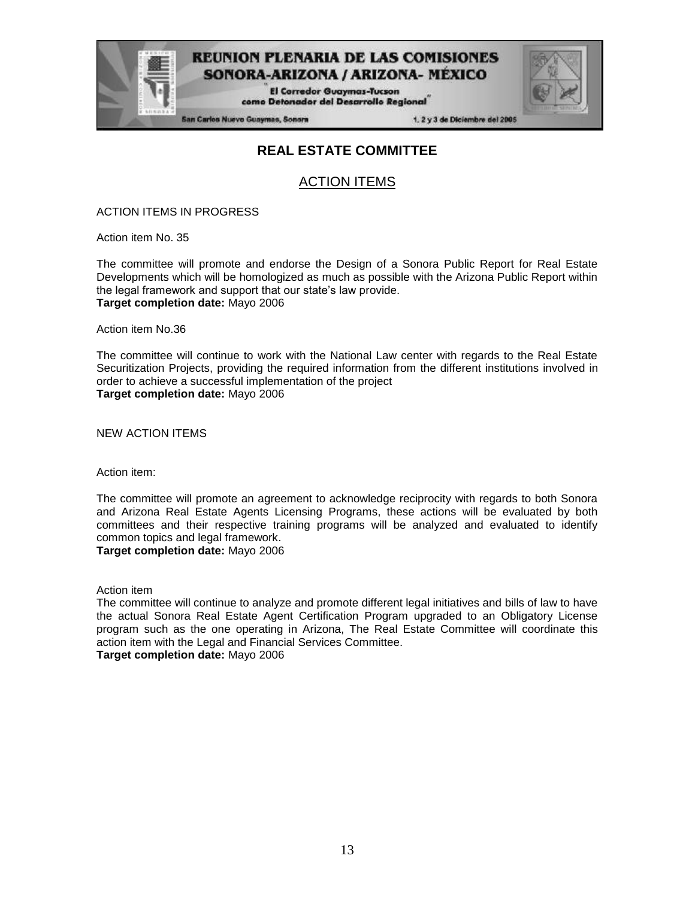

**El Corredor Guaymas-Tucson** como Detonador del Desarrollo Regional

**San Carlos Nuevo Guaymas, Sonora** 

1. 2 y 3 de Diciembre del 2005

### **REAL ESTATE COMMITTEE**

### ACTION ITEMS

ACTION ITEMS IN PROGRESS

Action item No. 35

The committee will promote and endorse the Design of a Sonora Public Report for Real Estate Developments which will be homologized as much as possible with the Arizona Public Report within the legal framework and support that our state's law provide. **Target completion date:** Mayo 2006

Action item No.36

The committee will continue to work with the National Law center with regards to the Real Estate Securitization Projects, providing the required information from the different institutions involved in order to achieve a successful implementation of the project **Target completion date:** Mayo 2006

NEW ACTION ITEMS

Action item:

The committee will promote an agreement to acknowledge reciprocity with regards to both Sonora and Arizona Real Estate Agents Licensing Programs, these actions will be evaluated by both committees and their respective training programs will be analyzed and evaluated to identify common topics and legal framework.

**Target completion date:** Mayo 2006

Action item

The committee will continue to analyze and promote different legal initiatives and bills of law to have the actual Sonora Real Estate Agent Certification Program upgraded to an Obligatory License program such as the one operating in Arizona, The Real Estate Committee will coordinate this action item with the Legal and Financial Services Committee.

**Target completion date:** Mayo 2006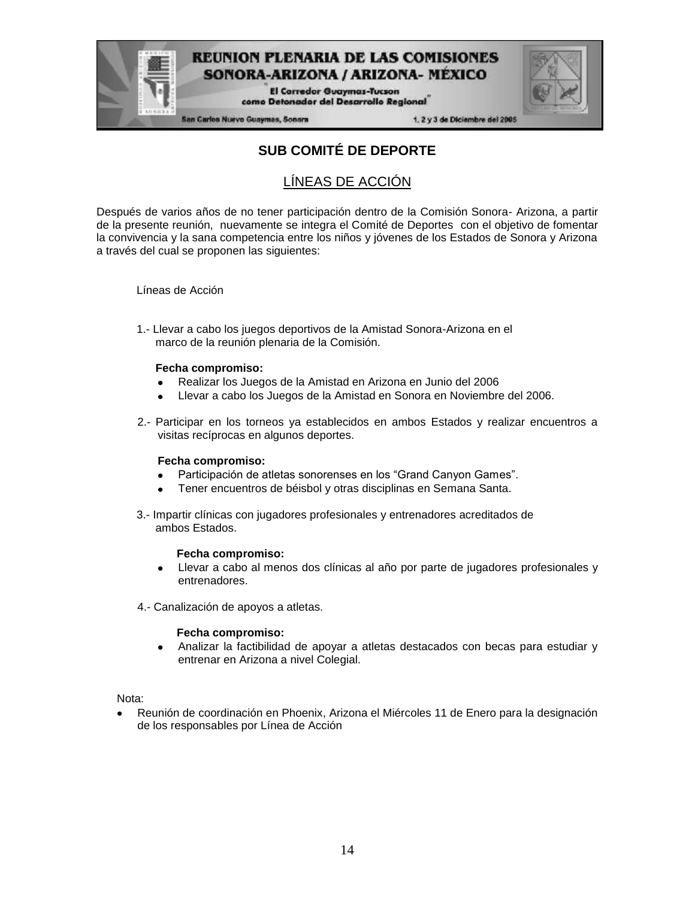

**El Corredor Guaymas-Tucson** como Detonador del Desarrollo Regional

San Carlos Nuevo Guaymas, Sonora

1. 2 y 3 de Diciembre del 2005

## **SUB COMITÉ DE DEPORTE**

### LÍNEAS DE ACCIÓN

Después de varios años de no tener participación dentro de la Comisión Sonora- Arizona, a partir de la presente reunión, nuevamente se integra el Comité de Deportes con el objetivo de fomentar la convivencia y la sana competencia entre los niños y jóvenes de los Estados de Sonora y Arizona a través del cual se proponen las siguientes:

Líneas de Acción

1.- Llevar a cabo los juegos deportivos de la Amistad Sonora-Arizona en el marco de la reunión plenaria de la Comisión.

#### **Fecha compromiso:**

- Realizar los Juegos de la Amistad en Arizona en Junio del 2006
- Llevar a cabo los Juegos de la Amistad en Sonora en Noviembre del 2006.
- 2.- Participar en los torneos ya establecidos en ambos Estados y realizar encuentros a visitas recíprocas en algunos deportes.

#### **Fecha compromiso:**

- $\bullet$ Participación de atletas sonorenses en los "Grand Canyon Games".
- Tener encuentros de béisbol y otras disciplinas en Semana Santa.
- 3.- Impartir clínicas con jugadores profesionales y entrenadores acreditados de ambos Estados.

#### **Fecha compromiso:**

- Llevar a cabo al menos dos clínicas al año por parte de jugadores profesionales y  $\bullet$ entrenadores.
- 4.- Canalización de apoyos a atletas.

#### **Fecha compromiso:**

 $\bullet$ Analizar la factibilidad de apoyar a atletas destacados con becas para estudiar y entrenar en Arizona a nivel Colegial.

Nota:

Reunión de coordinación en Phoenix, Arizona el Miércoles 11 de Enero para la designación de los responsables por Línea de Acción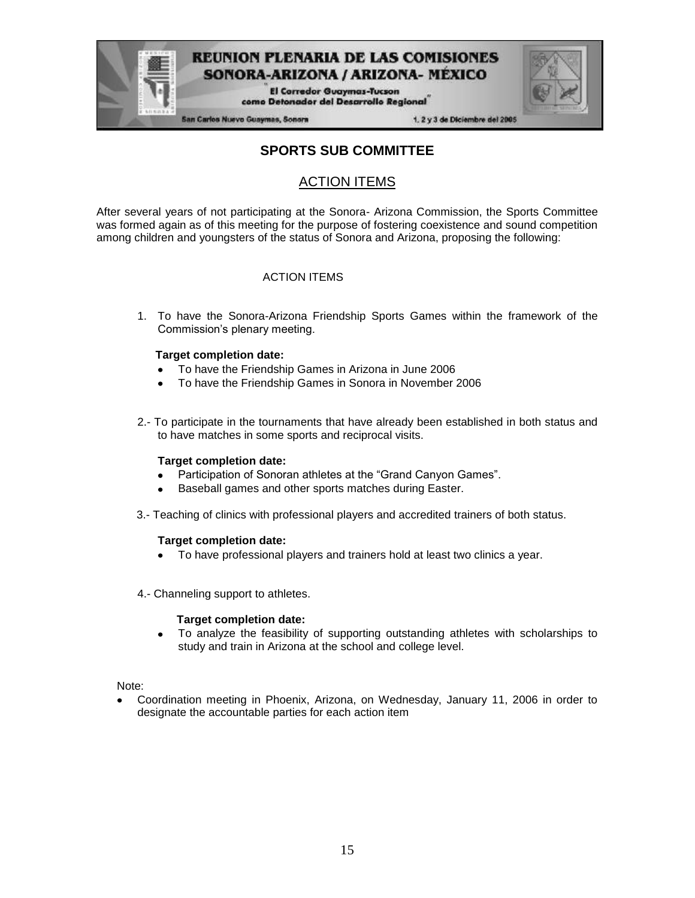

San Carlos Nuevo Guaymas, Sonora

1. 2 y 3 de Diciembre del 2005

### **SPORTS SUB COMMITTEE**

SONORA-ARIZONA / ARIZONA- MEXICO **El Corredor Guaymas-Tucson** como Detonador del Desarrollo Regional

### ACTION ITEMS

After several years of not participating at the Sonora- Arizona Commission, the Sports Committee was formed again as of this meeting for the purpose of fostering coexistence and sound competition among children and youngsters of the status of Sonora and Arizona, proposing the following:

#### ACTION ITEMS

1. To have the Sonora-Arizona Friendship Sports Games within the framework of the Commission's plenary meeting.

#### **Target completion date:**

- To have the Friendship Games in Arizona in June 2006
- To have the Friendship Games in Sonora in November 2006
- 2.- To participate in the tournaments that have already been established in both status and to have matches in some sports and reciprocal visits.

#### **Target completion date:**

- Participation of Sonoran athletes at the "Grand Canyon Games".  $\bullet$
- Baseball games and other sports matches during Easter.
- 3.- Teaching of clinics with professional players and accredited trainers of both status.

#### **Target completion date:**

- To have professional players and trainers hold at least two clinics a year.
- 4.- Channeling support to athletes.

#### **Target completion date:**

To analyze the feasibility of supporting outstanding athletes with scholarships to study and train in Arizona at the school and college level.

Note:

Coordination meeting in Phoenix, Arizona, on Wednesday, January 11, 2006 in order to designate the accountable parties for each action item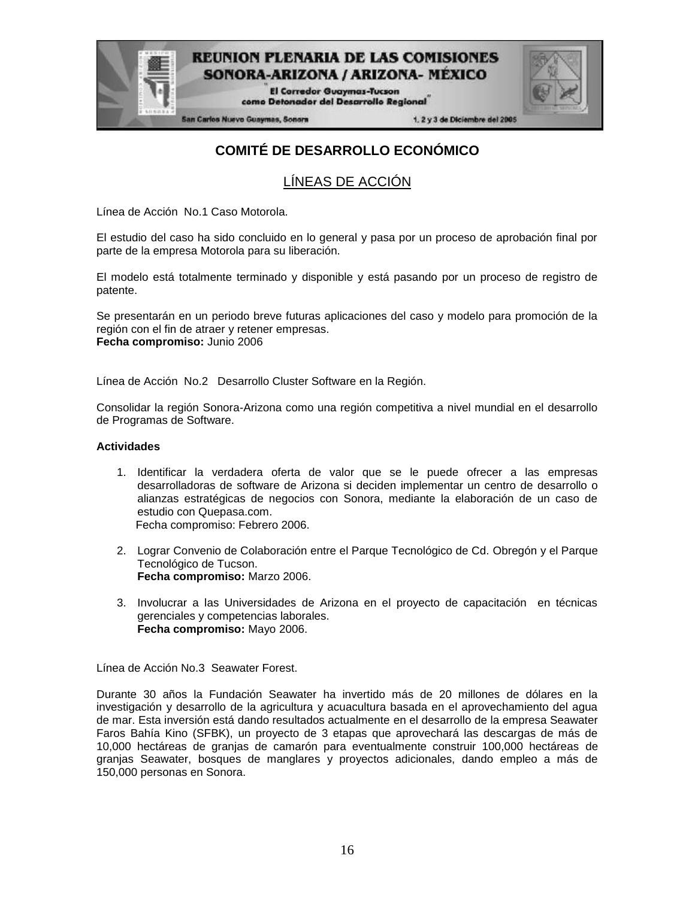

| <b><i><u>RELEASED</u></i></b> |  |  |
|-------------------------------|--|--|
|                               |  |  |

**San Carlos Nuevo Guaymas, Sonora** 

1.2 y 3 de Diciembre del 2005

## **COMITÉ DE DESARROLLO ECONÓMICO**

### LÍNEAS DE ACCIÓN

Línea de Acción No.1 Caso Motorola.

El estudio del caso ha sido concluido en lo general y pasa por un proceso de aprobación final por parte de la empresa Motorola para su liberación.

El modelo está totalmente terminado y disponible y está pasando por un proceso de registro de patente.

Se presentarán en un periodo breve futuras aplicaciones del caso y modelo para promoción de la región con el fin de atraer y retener empresas. **Fecha compromiso:** Junio 2006

Línea de Acción No.2 Desarrollo Cluster Software en la Región.

Consolidar la región Sonora-Arizona como una región competitiva a nivel mundial en el desarrollo de Programas de Software.

#### **Actividades**

- 1. Identificar la verdadera oferta de valor que se le puede ofrecer a las empresas desarrolladoras de software de Arizona si deciden implementar un centro de desarrollo o alianzas estratégicas de negocios con Sonora, mediante la elaboración de un caso de estudio con Quepasa.com. Fecha compromiso: Febrero 2006.
- 2. Lograr Convenio de Colaboración entre el Parque Tecnológico de Cd. Obregón y el Parque Tecnológico de Tucson. **Fecha compromiso:** Marzo 2006.
- 3. Involucrar a las Universidades de Arizona en el proyecto de capacitación en técnicas gerenciales y competencias laborales. **Fecha compromiso:** Mayo 2006.

Línea de Acción No.3 Seawater Forest.

Durante 30 años la Fundación Seawater ha invertido más de 20 millones de dólares en la investigación y desarrollo de la agricultura y acuacultura basada en el aprovechamiento del agua de mar. Esta inversión está dando resultados actualmente en el desarrollo de la empresa Seawater Faros Bahía Kino (SFBK), un proyecto de 3 etapas que aprovechará las descargas de más de 10,000 hectáreas de granjas de camarón para eventualmente construir 100,000 hectáreas de granjas Seawater, bosques de manglares y proyectos adicionales, dando empleo a más de 150,000 personas en Sonora.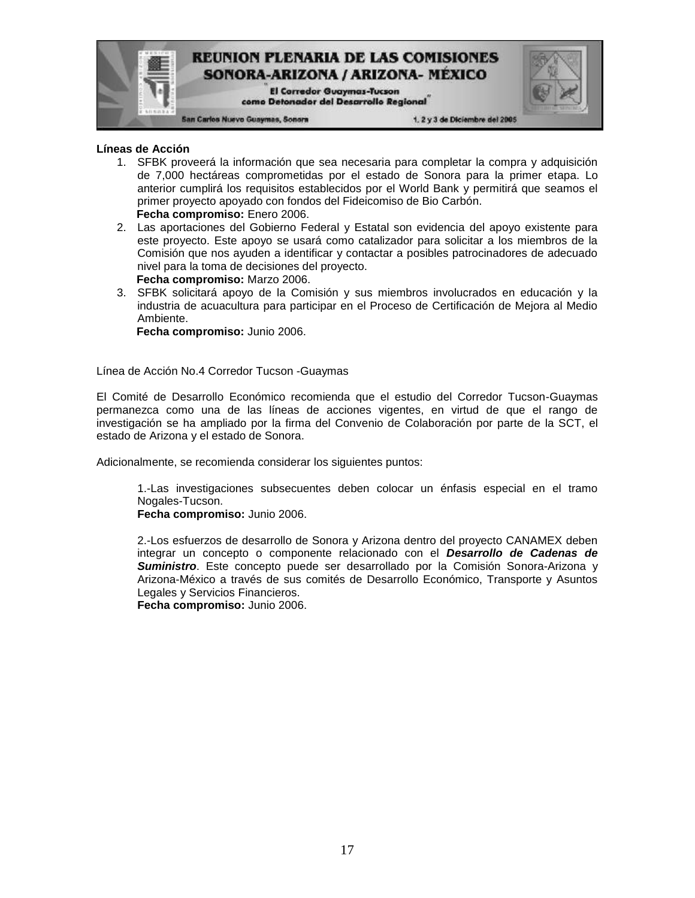

#### **Líneas de Acción**

- 1. SFBK proveerá la información que sea necesaria para completar la compra y adquisición de 7,000 hectáreas comprometidas por el estado de Sonora para la primer etapa. Lo anterior cumplirá los requisitos establecidos por el World Bank y permitirá que seamos el primer proyecto apoyado con fondos del Fideicomiso de Bio Carbón. **Fecha compromiso:** Enero 2006.
- 2. Las aportaciones del Gobierno Federal y Estatal son evidencia del apoyo existente para este proyecto. Este apoyo se usará como catalizador para solicitar a los miembros de la Comisión que nos ayuden a identificar y contactar a posibles patrocinadores de adecuado nivel para la toma de decisiones del proyecto. **Fecha compromiso:** Marzo 2006.
- 3. SFBK solicitará apoyo de la Comisión y sus miembros involucrados en educación y la industria de acuacultura para participar en el Proceso de Certificación de Mejora al Medio Ambiente.

**Fecha compromiso:** Junio 2006.

Línea de Acción No.4 Corredor Tucson -Guaymas

El Comité de Desarrollo Económico recomienda que el estudio del Corredor Tucson-Guaymas permanezca como una de las líneas de acciones vigentes, en virtud de que el rango de investigación se ha ampliado por la firma del Convenio de Colaboración por parte de la SCT, el estado de Arizona y el estado de Sonora.

Adicionalmente, se recomienda considerar los siguientes puntos:

1.-Las investigaciones subsecuentes deben colocar un énfasis especial en el tramo Nogales-Tucson.

**Fecha compromiso:** Junio 2006.

2.-Los esfuerzos de desarrollo de Sonora y Arizona dentro del proyecto CANAMEX deben integrar un concepto o componente relacionado con el *Desarrollo de Cadenas de Suministro*. Este concepto puede ser desarrollado por la Comisión Sonora-Arizona y Arizona-México a través de sus comités de Desarrollo Económico, Transporte y Asuntos Legales y Servicios Financieros.

**Fecha compromiso:** Junio 2006.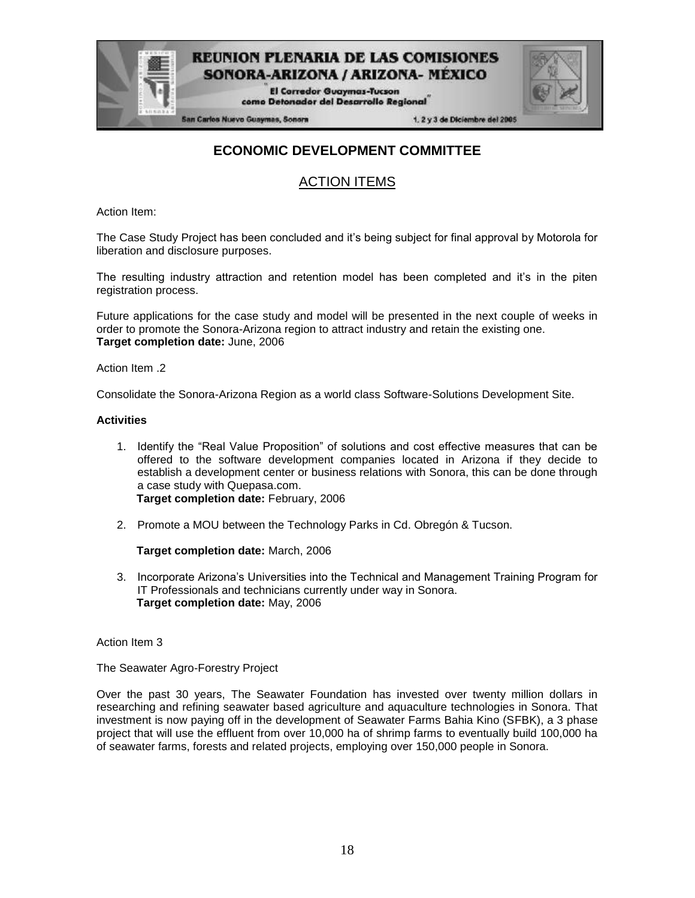

San Carlos Nuevo Guaymas, Sonora

1, 2 y 3 de Diciembre del 2005

### **ECONOMIC DEVELOPMENT COMMITTEE**

### ACTION ITEMS

Action Item:

The Case Study Project has been concluded and it's being subject for final approval by Motorola for liberation and disclosure purposes.

The resulting industry attraction and retention model has been completed and it's in the piten registration process.

Future applications for the case study and model will be presented in the next couple of weeks in order to promote the Sonora-Arizona region to attract industry and retain the existing one. **Target completion date:** June, 2006

Action Item .2

Consolidate the Sonora-Arizona Region as a world class Software-Solutions Development Site.

#### **Activities**

- 1. Identify the "Real Value Proposition" of solutions and cost effective measures that can be offered to the software development companies located in Arizona if they decide to establish a development center or business relations with Sonora, this can be done through a case study with Quepasa.com. **Target completion date:** February, 2006
- 2. Promote a MOU between the Technology Parks in Cd. Obregón & Tucson.

**Target completion date:** March, 2006

3. Incorporate Arizona's Universities into the Technical and Management Training Program for IT Professionals and technicians currently under way in Sonora. **Target completion date:** May, 2006

Action Item 3

The Seawater Agro-Forestry Project

Over the past 30 years, The Seawater Foundation has invested over twenty million dollars in researching and refining seawater based agriculture and aquaculture technologies in Sonora. That investment is now paying off in the development of Seawater Farms Bahia Kino (SFBK), a 3 phase project that will use the effluent from over 10,000 ha of shrimp farms to eventually build 100,000 ha of seawater farms, forests and related projects, employing over 150,000 people in Sonora.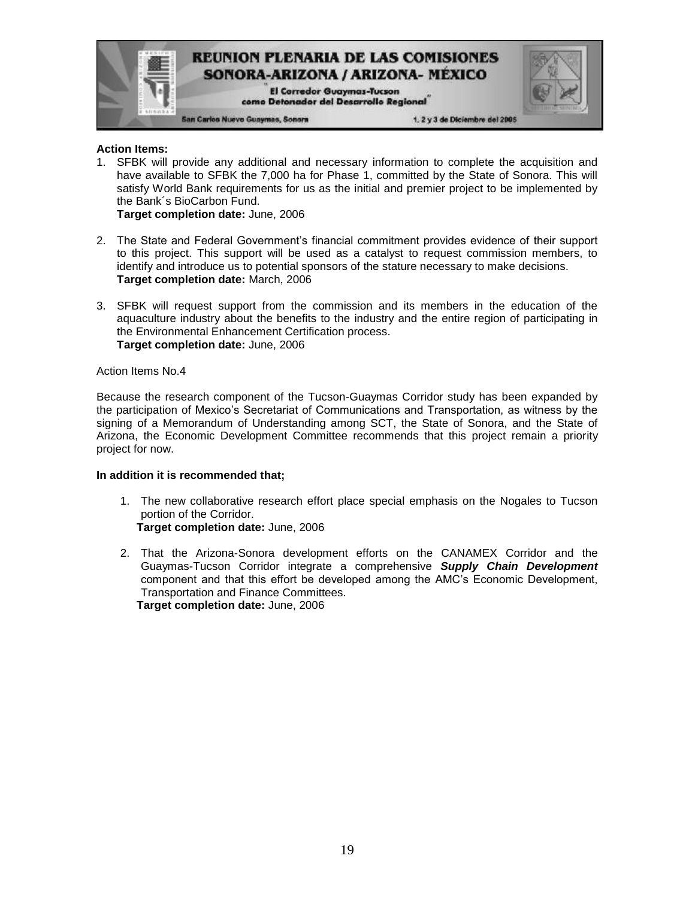

#### **Action Items:**

1. SFBK will provide any additional and necessary information to complete the acquisition and have available to SFBK the 7,000 ha for Phase 1, committed by the State of Sonora. This will satisfy World Bank requirements for us as the initial and premier project to be implemented by the Bank´s BioCarbon Fund.

**Target completion date:** June, 2006

- 2. The State and Federal Government's financial commitment provides evidence of their support to this project. This support will be used as a catalyst to request commission members, to identify and introduce us to potential sponsors of the stature necessary to make decisions. **Target completion date:** March, 2006
- 3. SFBK will request support from the commission and its members in the education of the aquaculture industry about the benefits to the industry and the entire region of participating in the Environmental Enhancement Certification process. **Target completion date:** June, 2006

#### Action Items No.4

Because the research component of the Tucson-Guaymas Corridor study has been expanded by the participation of Mexico's Secretariat of Communications and Transportation, as witness by the signing of a Memorandum of Understanding among SCT, the State of Sonora, and the State of Arizona, the Economic Development Committee recommends that this project remain a priority project for now.

#### **In addition it is recommended that;**

- 1. The new collaborative research effort place special emphasis on the Nogales to Tucson portion of the Corridor. **Target completion date:** June, 2006
- 2. That the Arizona-Sonora development efforts on the CANAMEX Corridor and the Guaymas-Tucson Corridor integrate a comprehensive *Supply Chain Development* component and that this effort be developed among the AMC's Economic Development, Transportation and Finance Committees. **Target completion date:** June, 2006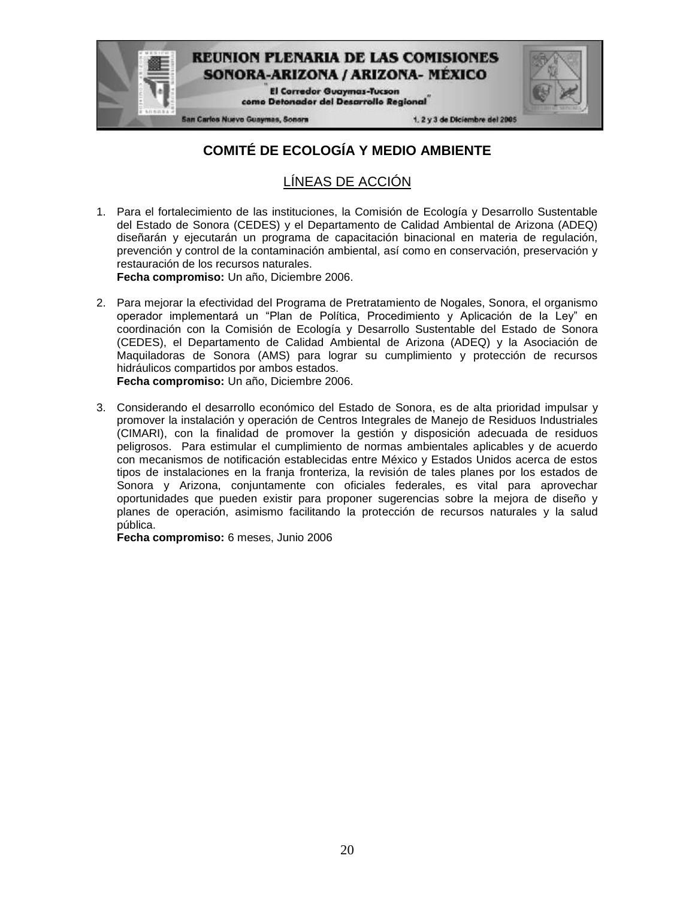

## **COMITÉ DE ECOLOGÍA Y MEDIO AMBIENTE**

## LÍNEAS DE ACCIÓN

1. Para el fortalecimiento de las instituciones, la Comisión de Ecología y Desarrollo Sustentable del Estado de Sonora (CEDES) y el Departamento de Calidad Ambiental de Arizona (ADEQ) diseñarán y ejecutarán un programa de capacitación binacional en materia de regulación, prevención y control de la contaminación ambiental, así como en conservación, preservación y restauración de los recursos naturales.

**Fecha compromiso:** Un año, Diciembre 2006.

- 2. Para mejorar la efectividad del Programa de Pretratamiento de Nogales, Sonora, el organismo operador implementará un "Plan de Política, Procedimiento y Aplicación de la Ley" en coordinación con la Comisión de Ecología y Desarrollo Sustentable del Estado de Sonora (CEDES), el Departamento de Calidad Ambiental de Arizona (ADEQ) y la Asociación de Maquiladoras de Sonora (AMS) para lograr su cumplimiento y protección de recursos hidráulicos compartidos por ambos estados. **Fecha compromiso:** Un año, Diciembre 2006.
- 3. Considerando el desarrollo económico del Estado de Sonora, es de alta prioridad impulsar y promover la instalación y operación de Centros Integrales de Manejo de Residuos Industriales (CIMARI), con la finalidad de promover la gestión y disposición adecuada de residuos peligrosos. Para estimular el cumplimiento de normas ambientales aplicables y de acuerdo con mecanismos de notificación establecidas entre México y Estados Unidos acerca de estos tipos de instalaciones en la franja fronteriza, la revisión de tales planes por los estados de Sonora y Arizona, conjuntamente con oficiales federales, es vital para aprovechar oportunidades que pueden existir para proponer sugerencias sobre la mejora de diseño y planes de operación, asimismo facilitando la protección de recursos naturales y la salud pública.

**Fecha compromiso:** 6 meses, Junio 2006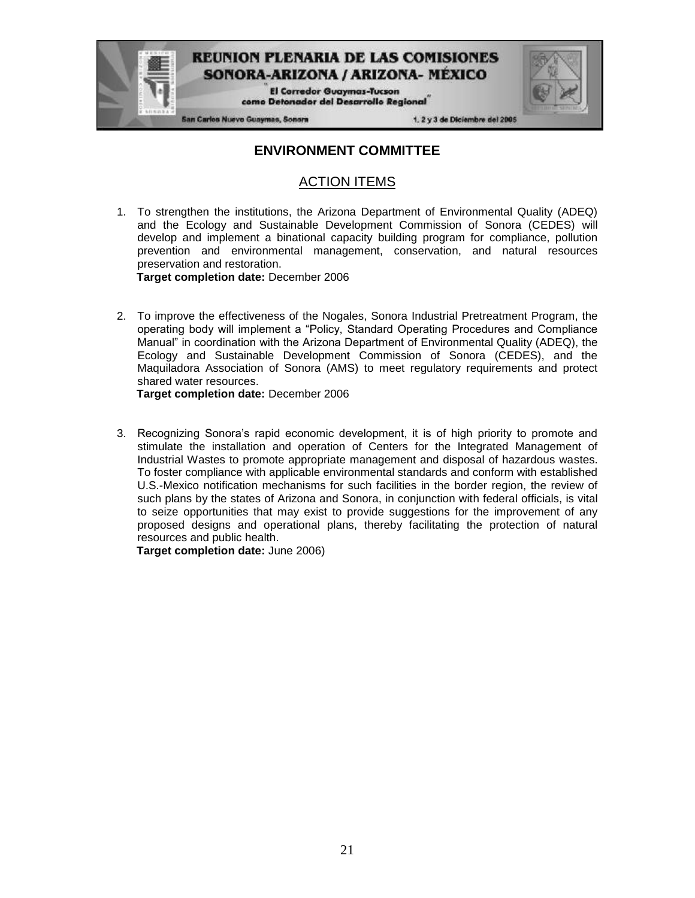

### **ENVIRONMENT COMMITTEE**

### ACTION ITEMS

1. To strengthen the institutions, the Arizona Department of Environmental Quality (ADEQ) and the Ecology and Sustainable Development Commission of Sonora (CEDES) will develop and implement a binational capacity building program for compliance, pollution prevention and environmental management, conservation, and natural resources preservation and restoration.

**Target completion date:** December 2006

2. To improve the effectiveness of the Nogales, Sonora Industrial Pretreatment Program, the operating body will implement a "Policy, Standard Operating Procedures and Compliance Manual" in coordination with the Arizona Department of Environmental Quality (ADEQ), the Ecology and Sustainable Development Commission of Sonora (CEDES), and the Maquiladora Association of Sonora (AMS) to meet regulatory requirements and protect shared water resources.

**Target completion date:** December 2006

3. Recognizing Sonora's rapid economic development, it is of high priority to promote and stimulate the installation and operation of Centers for the Integrated Management of Industrial Wastes to promote appropriate management and disposal of hazardous wastes. To foster compliance with applicable environmental standards and conform with established U.S.-Mexico notification mechanisms for such facilities in the border region, the review of such plans by the states of Arizona and Sonora, in conjunction with federal officials, is vital to seize opportunities that may exist to provide suggestions for the improvement of any proposed designs and operational plans, thereby facilitating the protection of natural resources and public health.

**Target completion date:** June 2006)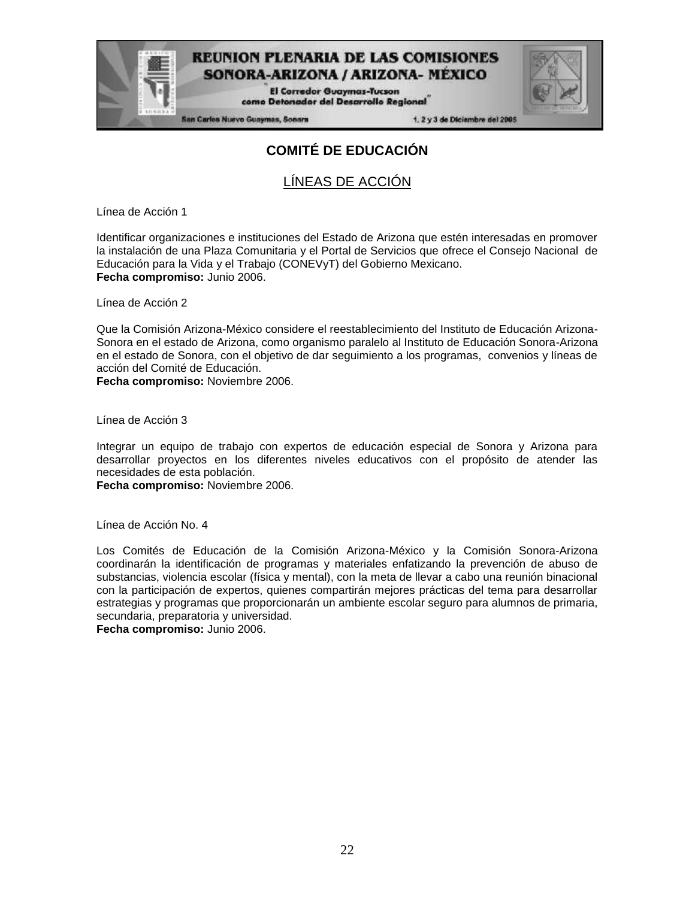**El Corredor Guaymas-Tucson** como Detonador del Desarrollo Regional

**San Carlos Nuevo Guaymas, Sonora** 

1. 2 y 3 de Diciembre del 2005

## **COMITÉ DE EDUCACIÓN**

## LÍNEAS DE ACCIÓN

Línea de Acción 1

Identificar organizaciones e instituciones del Estado de Arizona que estén interesadas en promover la instalación de una Plaza Comunitaria y el Portal de Servicios que ofrece el Consejo Nacional de Educación para la Vida y el Trabajo (CONEVyT) del Gobierno Mexicano. **Fecha compromiso:** Junio 2006.

Línea de Acción 2

Que la Comisión Arizona-México considere el reestablecimiento del Instituto de Educación Arizona-Sonora en el estado de Arizona, como organismo paralelo al Instituto de Educación Sonora-Arizona en el estado de Sonora, con el objetivo de dar seguimiento a los programas, convenios y líneas de acción del Comité de Educación.

**Fecha compromiso:** Noviembre 2006.

Línea de Acción 3

Integrar un equipo de trabajo con expertos de educación especial de Sonora y Arizona para desarrollar proyectos en los diferentes niveles educativos con el propósito de atender las necesidades de esta población.

**Fecha compromiso:** Noviembre 2006.

Línea de Acción No. 4

Los Comités de Educación de la Comisión Arizona-México y la Comisión Sonora-Arizona coordinarán la identificación de programas y materiales enfatizando la prevención de abuso de substancias, violencia escolar (física y mental), con la meta de llevar a cabo una reunión binacional con la participación de expertos, quienes compartirán mejores prácticas del tema para desarrollar estrategias y programas que proporcionarán un ambiente escolar seguro para alumnos de primaria, secundaria, preparatoria y universidad.

**Fecha compromiso:** Junio 2006.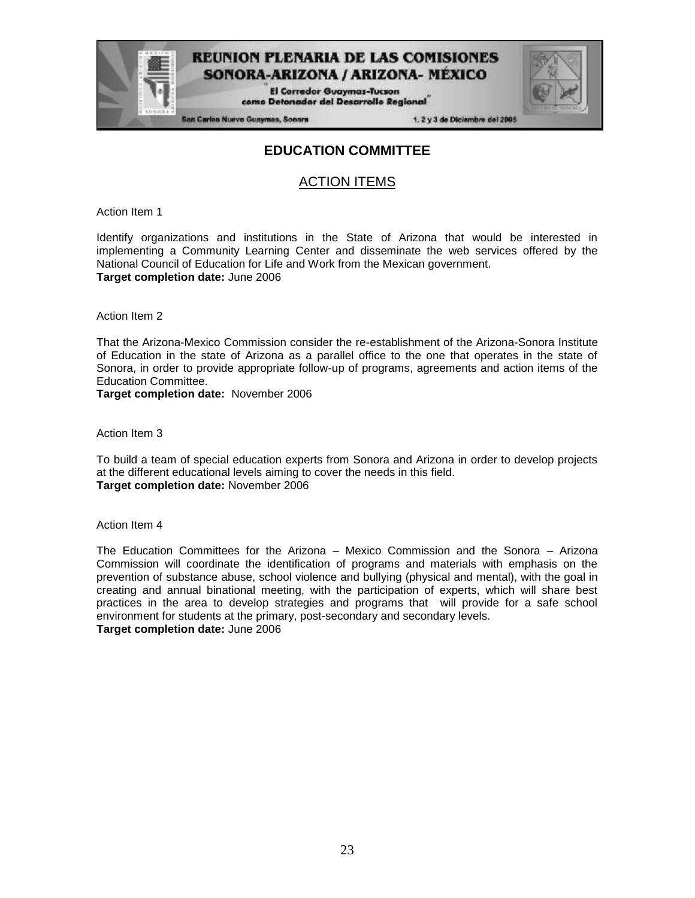**El Corredor Guaymas-Tucson** como Detonador del Desarrollo Regional

**San Carlos Nuevo Guaymas, Sonora** 

1. 2 y 3 de Diciembre del 2005

### **EDUCATION COMMITTEE**

### ACTION ITEMS

Action Item 1

Identify organizations and institutions in the State of Arizona that would be interested in implementing a Community Learning Center and disseminate the web services offered by the National Council of Education for Life and Work from the Mexican government. **Target completion date:** June 2006

Action Item 2

That the Arizona-Mexico Commission consider the re-establishment of the Arizona-Sonora Institute of Education in the state of Arizona as a parallel office to the one that operates in the state of Sonora, in order to provide appropriate follow-up of programs, agreements and action items of the Education Committee.

**Target completion date:** November 2006

Action Item 3

To build a team of special education experts from Sonora and Arizona in order to develop projects at the different educational levels aiming to cover the needs in this field. **Target completion date:** November 2006

Action Item 4

The Education Committees for the Arizona – Mexico Commission and the Sonora – Arizona Commission will coordinate the identification of programs and materials with emphasis on the prevention of substance abuse, school violence and bullying (physical and mental), with the goal in creating and annual binational meeting, with the participation of experts, which will share best practices in the area to develop strategies and programs that will provide for a safe school environment for students at the primary, post-secondary and secondary levels. **Target completion date:** June 2006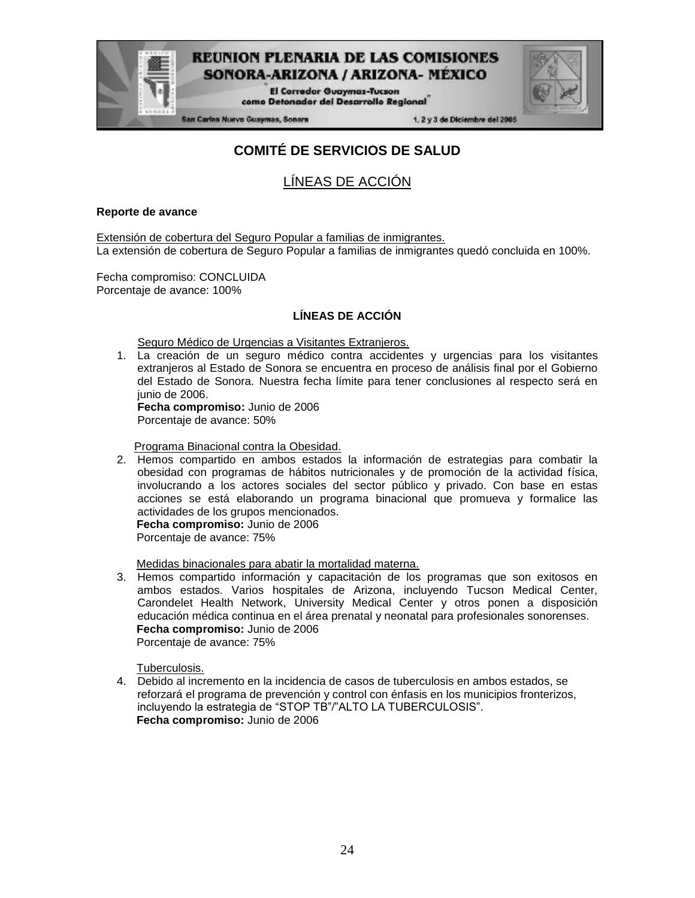

San Carlos Nuevo Guaymas, Sonora

1. 2 y 3 de Diciembre del 2005

## **COMITÉ DE SERVICIOS DE SALUD**

**REUNION PLENARIA DE LAS COMISIONES** SONORA-ARIZONA / ARIZONA- MEXICO **El Corredor Guaymas-Tucson** como Detonador del Desarrollo Regional

## LÍNEAS DE ACCIÓN

#### **Reporte de avance**

Extensión de cobertura del Seguro Popular a familias de inmigrantes. La extensión de cobertura de Seguro Popular a familias de inmigrantes quedó concluida en 100%.

Fecha compromiso: CONCLUIDA Porcentaje de avance: 100%

#### **LÍNEAS DE ACCIÓN**

Seguro Médico de Urgencias a Visitantes Extranjeros.

1. La creación de un seguro médico contra accidentes y urgencias para los visitantes extranjeros al Estado de Sonora se encuentra en proceso de análisis final por el Gobierno del Estado de Sonora. Nuestra fecha límite para tener conclusiones al respecto será en junio de 2006.

**Fecha compromiso:** Junio de 2006 Porcentaje de avance: 50%

Programa Binacional contra la Obesidad.

2. Hemos compartido en ambos estados la información de estrategias para combatir la obesidad con programas de hábitos nutricionales y de promoción de la actividad física, involucrando a los actores sociales del sector público y privado. Con base en estas acciones se está elaborando un programa binacional que promueva y formalice las actividades de los grupos mencionados.

**Fecha compromiso:** Junio de 2006 Porcentaje de avance: 75%

Medidas binacionales para abatir la mortalidad materna.

3. Hemos compartido información y capacitación de los programas que son exitosos en ambos estados. Varios hospitales de Arizona, incluyendo Tucson Medical Center, Carondelet Health Network, University Medical Center y otros ponen a disposición educación médica continua en el área prenatal y neonatal para profesionales sonorenses. **Fecha compromiso:** Junio de 2006 Porcentaje de avance: 75%

Tuberculosis.

4. Debido al incremento en la incidencia de casos de tuberculosis en ambos estados, se reforzará el programa de prevención y control con énfasis en los municipios fronterizos, incluyendo la estrategia de "STOP TB"/"ALTO LA TUBERCULOSIS". **Fecha compromiso:** Junio de 2006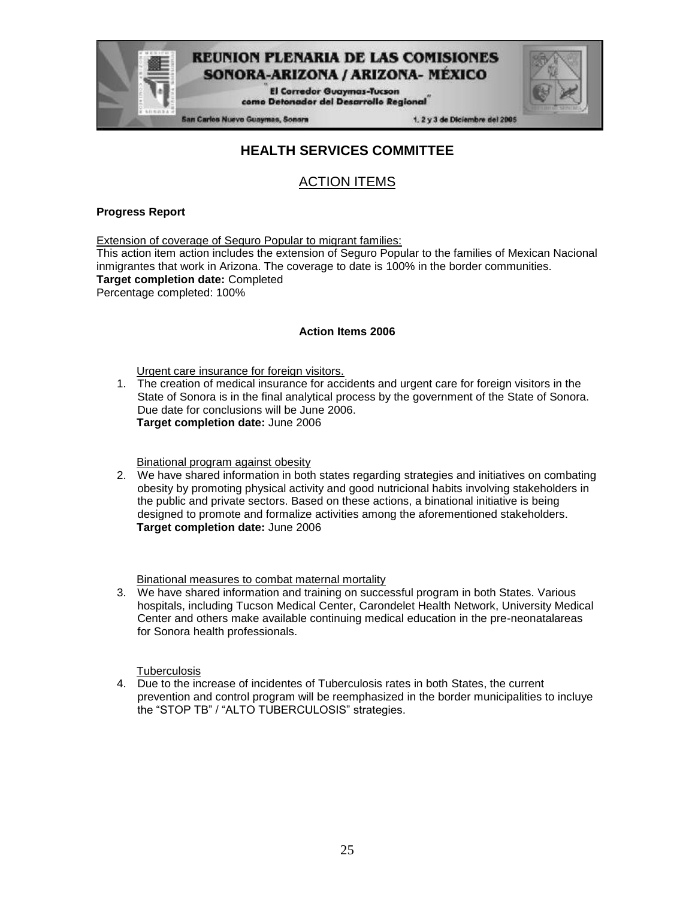**El Corredor Guaymas-Tucson** como Detonador del Desarrollo Regional

San Carlos Nuevo Guaymas, Sonora

1. 2 y 3 de Diciembre del 2005

### **HEALTH SERVICES COMMITTEE**

### ACTION ITEMS

#### **Progress Report**

Extension of coverage of Seguro Popular to migrant families: This action item action includes the extension of Seguro Popular to the families of Mexican Nacional inmigrantes that work in Arizona. The coverage to date is 100% in the border communities. **Target completion date:** Completed Percentage completed: 100%

#### **Action Items 2006**

Urgent care insurance for foreign visitors.

1. The creation of medical insurance for accidents and urgent care for foreign visitors in the State of Sonora is in the final analytical process by the government of the State of Sonora. Due date for conclusions will be June 2006. **Target completion date:** June 2006

Binational program against obesity

2. We have shared information in both states regarding strategies and initiatives on combating obesity by promoting physical activity and good nutricional habits involving stakeholders in the public and private sectors. Based on these actions, a binational initiative is being designed to promote and formalize activities among the aforementioned stakeholders. **Target completion date:** June 2006

Binational measures to combat maternal mortality

3. We have shared information and training on successful program in both States. Various hospitals, including Tucson Medical Center, Carondelet Health Network, University Medical Center and others make available continuing medical education in the pre-neonatalareas for Sonora health professionals.

**Tuberculosis** 

4. Due to the increase of incidentes of Tuberculosis rates in both States, the current prevention and control program will be reemphasized in the border municipalities to incluye the "STOP TB" / "ALTO TUBERCULOSIS" strategies.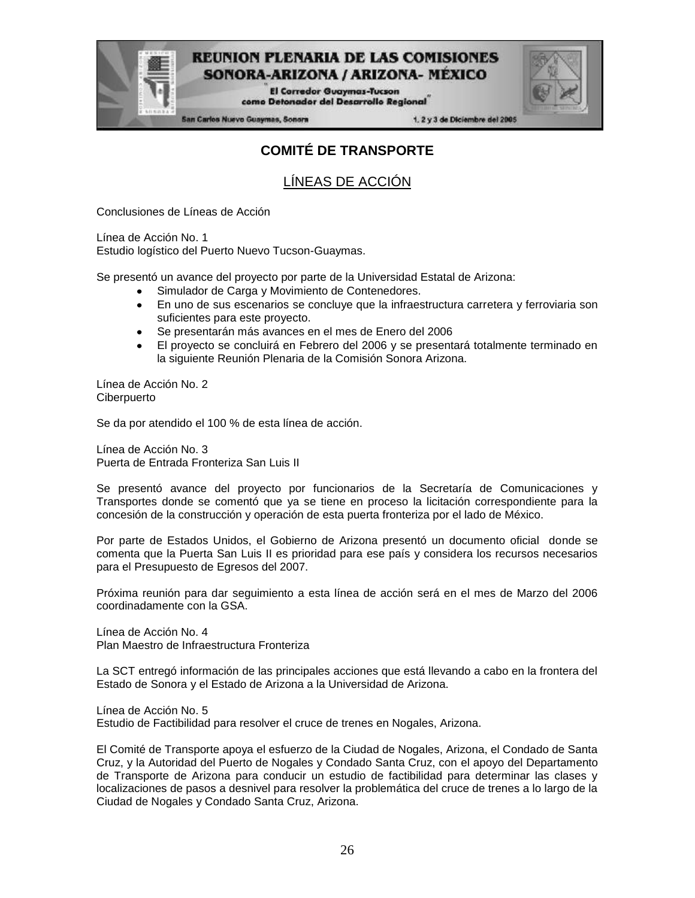

**El Corredor Guaymas-Tucson** como Detonador del Desarrollo Regional

San Carlos Nuevo Guaymas, Sonora

1. 2 y 3 de Diciembre del 2005

## **COMITÉ DE TRANSPORTE**

LÍNEAS DE ACCIÓN

Conclusiones de Líneas de Acción

Línea de Acción No. 1

Estudio logístico del Puerto Nuevo Tucson-Guaymas.

Se presentó un avance del proyecto por parte de la Universidad Estatal de Arizona:

- Simulador de Carga y Movimiento de Contenedores.
- $\bullet$ En uno de sus escenarios se concluye que la infraestructura carretera y ferroviaria son suficientes para este proyecto.
- Se presentarán más avances en el mes de Enero del 2006
- El proyecto se concluirá en Febrero del 2006 y se presentará totalmente terminado en la siguiente Reunión Plenaria de la Comisión Sonora Arizona.

Línea de Acción No. 2 **Ciberpuerto** 

Se da por atendido el 100 % de esta línea de acción.

Línea de Acción No. 3 Puerta de Entrada Fronteriza San Luis II

Se presentó avance del proyecto por funcionarios de la Secretaría de Comunicaciones y Transportes donde se comentó que ya se tiene en proceso la licitación correspondiente para la concesión de la construcción y operación de esta puerta fronteriza por el lado de México.

Por parte de Estados Unidos, el Gobierno de Arizona presentó un documento oficial donde se comenta que la Puerta San Luis II es prioridad para ese país y considera los recursos necesarios para el Presupuesto de Egresos del 2007.

Próxima reunión para dar seguimiento a esta línea de acción será en el mes de Marzo del 2006 coordinadamente con la GSA.

Línea de Acción No. 4 Plan Maestro de Infraestructura Fronteriza

La SCT entregó información de las principales acciones que está llevando a cabo en la frontera del Estado de Sonora y el Estado de Arizona a la Universidad de Arizona.

Línea de Acción No. 5 Estudio de Factibilidad para resolver el cruce de trenes en Nogales, Arizona.

El Comité de Transporte apoya el esfuerzo de la Ciudad de Nogales, Arizona, el Condado de Santa Cruz, y la Autoridad del Puerto de Nogales y Condado Santa Cruz, con el apoyo del Departamento de Transporte de Arizona para conducir un estudio de factibilidad para determinar las clases y localizaciones de pasos a desnivel para resolver la problemática del cruce de trenes a lo largo de la Ciudad de Nogales y Condado Santa Cruz, Arizona.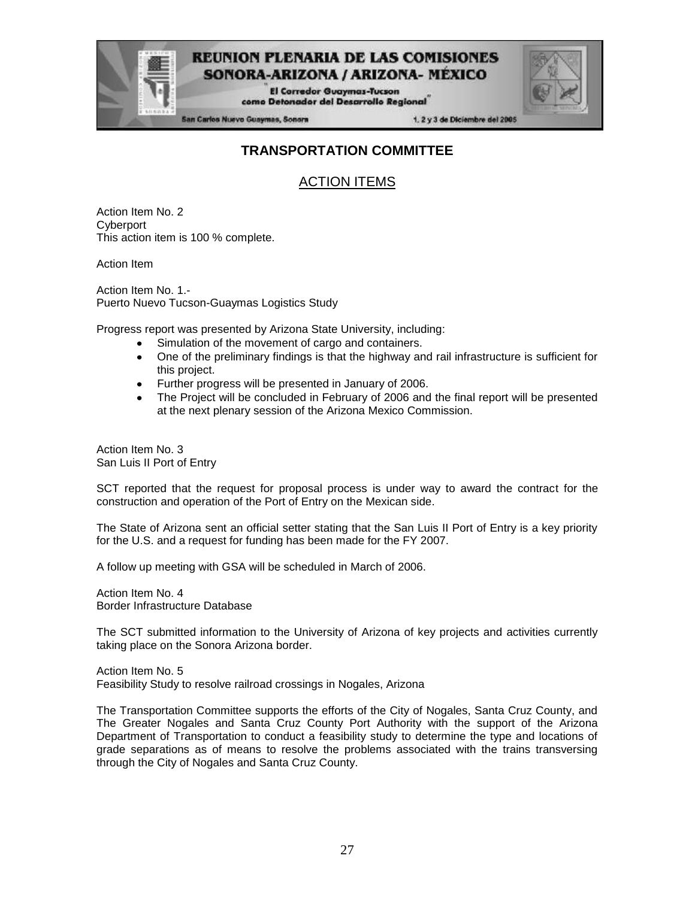

**El Corredor Guaymas-Tucson** como Detonador del Desarrollo Regional

San Carlos Nuevo Guaymas, Sonora

1. 2 y 3 de Diciembre del 2005

### **TRANSPORTATION COMMITTEE**

## ACTION ITEMS

Action Item No. 2 **Cyberport** This action item is 100 % complete.

Action Item

Action Item No. 1.- Puerto Nuevo Tucson-Guaymas Logistics Study

Progress report was presented by Arizona State University, including:

- Simulation of the movement of cargo and containers.
- One of the preliminary findings is that the highway and rail infrastructure is sufficient for this project.
- Further progress will be presented in January of 2006.  $\bullet$
- The Project will be concluded in February of 2006 and the final report will be presented at the next plenary session of the Arizona Mexico Commission.

Action Item No. 3 San Luis II Port of Entry

SCT reported that the request for proposal process is under way to award the contract for the construction and operation of the Port of Entry on the Mexican side.

The State of Arizona sent an official setter stating that the San Luis II Port of Entry is a key priority for the U.S. and a request for funding has been made for the FY 2007.

A follow up meeting with GSA will be scheduled in March of 2006.

Action Item No. 4 Border Infrastructure Database

The SCT submitted information to the University of Arizona of key projects and activities currently taking place on the Sonora Arizona border.

Action Item No. 5 Feasibility Study to resolve railroad crossings in Nogales, Arizona

The Transportation Committee supports the efforts of the City of Nogales, Santa Cruz County, and The Greater Nogales and Santa Cruz County Port Authority with the support of the Arizona Department of Transportation to conduct a feasibility study to determine the type and locations of grade separations as of means to resolve the problems associated with the trains transversing through the City of Nogales and Santa Cruz County.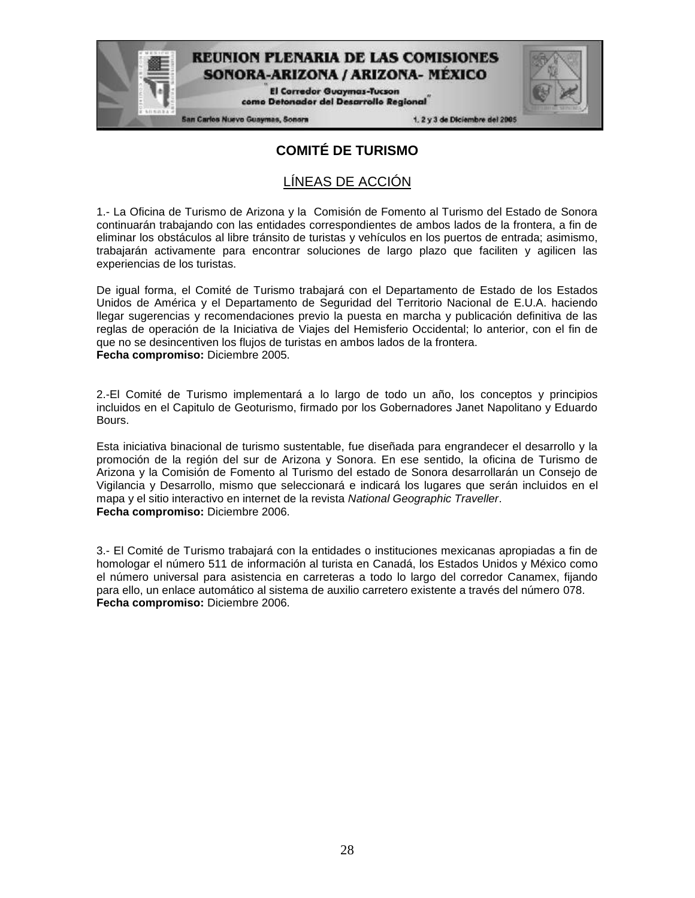**El Corredor Guaymas-Tucson** como Detonador del Desarrollo Regional

San Carlos Nuevo Guaymas, Sonora

1. 2 y 3 de Diciembre del 2005

### **COMITÉ DE TURISMO**

### LÍNEAS DE ACCIÓN

1.- La Oficina de Turismo de Arizona y la Comisión de Fomento al Turismo del Estado de Sonora continuarán trabajando con las entidades correspondientes de ambos lados de la frontera, a fin de eliminar los obstáculos al libre tránsito de turistas y vehículos en los puertos de entrada; asimismo, trabajarán activamente para encontrar soluciones de largo plazo que faciliten y agilicen las experiencias de los turistas.

De igual forma, el Comité de Turismo trabajará con el Departamento de Estado de los Estados Unidos de América y el Departamento de Seguridad del Territorio Nacional de E.U.A. haciendo llegar sugerencias y recomendaciones previo la puesta en marcha y publicación definitiva de las reglas de operación de la Iniciativa de Viajes del Hemisferio Occidental; lo anterior, con el fin de que no se desincentiven los flujos de turistas en ambos lados de la frontera. **Fecha compromiso:** Diciembre 2005.

2.-El Comité de Turismo implementará a lo largo de todo un año, los conceptos y principios incluidos en el Capitulo de Geoturismo, firmado por los Gobernadores Janet Napolitano y Eduardo Bours.

Esta iniciativa binacional de turismo sustentable, fue diseñada para engrandecer el desarrollo y la promoción de la región del sur de Arizona y Sonora. En ese sentido, la oficina de Turismo de Arizona y la Comisión de Fomento al Turismo del estado de Sonora desarrollarán un Consejo de Vigilancia y Desarrollo, mismo que seleccionará e indicará los lugares que serán incluidos en el mapa y el sitio interactivo en internet de la revista *National Geographic Traveller*. **Fecha compromiso:** Diciembre 2006.

3.- El Comité de Turismo trabajará con la entidades o instituciones mexicanas apropiadas a fin de homologar el número 511 de información al turista en Canadá, los Estados Unidos y México como el número universal para asistencia en carreteras a todo lo largo del corredor Canamex, fijando para ello, un enlace automático al sistema de auxilio carretero existente a través del número 078. **Fecha compromiso:** Diciembre 2006.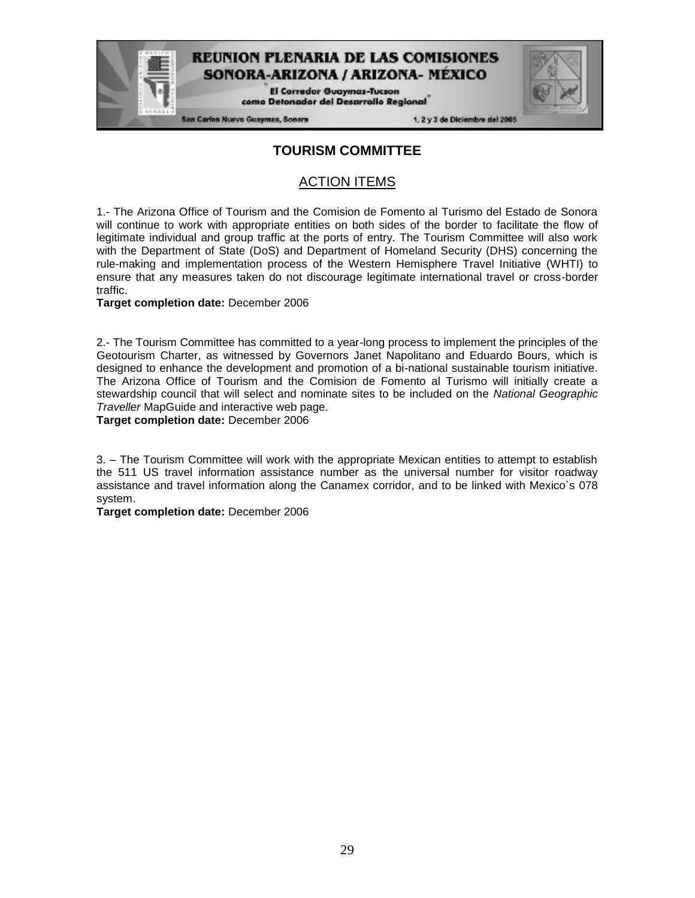**El Corredor Guaymas-Tucson** como Detonador del Desarrollo Regional

**San Carlos Nuevo Guaymas, Sonora** 

1. 2 y 3 de Diciembre del 2005

### **TOURISM COMMITTEE**

### ACTION ITEMS

1.- The Arizona Office of Tourism and the Comision de Fomento al Turismo del Estado de Sonora will continue to work with appropriate entities on both sides of the border to facilitate the flow of legitimate individual and group traffic at the ports of entry. The Tourism Committee will also work with the Department of State (DoS) and Department of Homeland Security (DHS) concerning the rule-making and implementation process of the Western Hemisphere Travel Initiative (WHTI) to ensure that any measures taken do not discourage legitimate international travel or cross-border traffic.

**Target completion date:** December 2006

2.- The Tourism Committee has committed to a year-long process to implement the principles of the Geotourism Charter, as witnessed by Governors Janet Napolitano and Eduardo Bours, which is designed to enhance the development and promotion of a bi-national sustainable tourism initiative. The Arizona Office of Tourism and the Comision de Fomento al Turismo will initially create a stewardship council that will select and nominate sites to be included on the *National Geographic Traveller* MapGuide and interactive web page.

**Target completion date:** December 2006

3. – The Tourism Committee will work with the appropriate Mexican entities to attempt to establish the 511 US travel information assistance number as the universal number for visitor roadway assistance and travel information along the Canamex corridor, and to be linked with Mexico`s 078 system.

**Target completion date:** December 2006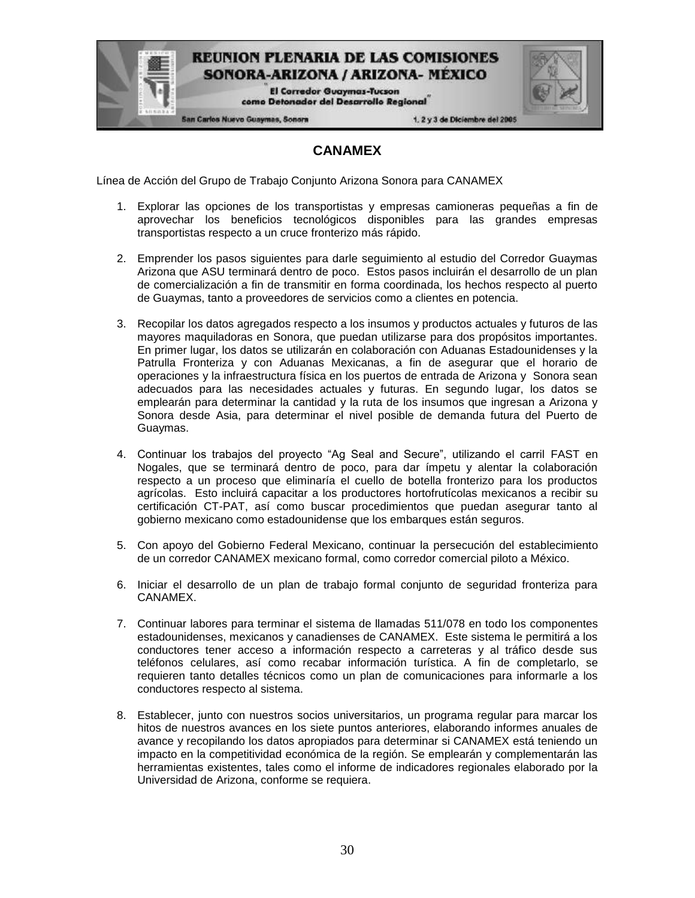> **El Corredor Guaymas-Tucson** como Detonador del Desarrollo Regional

San Carlos Nuevo Guaymas, Sonora

1. 2 y 3 de Diciembre del 2005

### **CANAMEX**

Línea de Acción del Grupo de Trabajo Conjunto Arizona Sonora para CANAMEX

- 1. Explorar las opciones de los transportistas y empresas camioneras pequeñas a fin de aprovechar los beneficios tecnológicos disponibles para las grandes empresas transportistas respecto a un cruce fronterizo más rápido.
- 2. Emprender los pasos siguientes para darle seguimiento al estudio del Corredor Guaymas Arizona que ASU terminará dentro de poco. Estos pasos incluirán el desarrollo de un plan de comercialización a fin de transmitir en forma coordinada, los hechos respecto al puerto de Guaymas, tanto a proveedores de servicios como a clientes en potencia.
- 3. Recopilar los datos agregados respecto a los insumos y productos actuales y futuros de las mayores maquiladoras en Sonora, que puedan utilizarse para dos propósitos importantes. En primer lugar, los datos se utilizarán en colaboración con Aduanas Estadounidenses y la Patrulla Fronteriza y con Aduanas Mexicanas, a fin de asegurar que el horario de operaciones y la infraestructura física en los puertos de entrada de Arizona y Sonora sean adecuados para las necesidades actuales y futuras. En segundo lugar, los datos se emplearán para determinar la cantidad y la ruta de los insumos que ingresan a Arizona y Sonora desde Asia, para determinar el nivel posible de demanda futura del Puerto de Guaymas.
- 4. Continuar los trabajos del proyecto "Ag Seal and Secure", utilizando el carril FAST en Nogales, que se terminará dentro de poco, para dar ímpetu y alentar la colaboración respecto a un proceso que eliminaría el cuello de botella fronterizo para los productos agrícolas. Esto incluirá capacitar a los productores hortofrutícolas mexicanos a recibir su certificación CT-PAT, así como buscar procedimientos que puedan asegurar tanto al gobierno mexicano como estadounidense que los embarques están seguros.
- 5. Con apoyo del Gobierno Federal Mexicano, continuar la persecución del establecimiento de un corredor CANAMEX mexicano formal, como corredor comercial piloto a México.
- 6. Iniciar el desarrollo de un plan de trabajo formal conjunto de seguridad fronteriza para CANAMEX.
- 7. Continuar labores para terminar el sistema de llamadas 511/078 en todo los componentes estadounidenses, mexicanos y canadienses de CANAMEX. Este sistema le permitirá a los conductores tener acceso a información respecto a carreteras y al tráfico desde sus teléfonos celulares, así como recabar información turística. A fin de completarlo, se requieren tanto detalles técnicos como un plan de comunicaciones para informarle a los conductores respecto al sistema.
- 8. Establecer, junto con nuestros socios universitarios, un programa regular para marcar los hitos de nuestros avances en los siete puntos anteriores, elaborando informes anuales de avance y recopilando los datos apropiados para determinar si CANAMEX está teniendo un impacto en la competitividad económica de la región. Se emplearán y complementarán las herramientas existentes, tales como el informe de indicadores regionales elaborado por la Universidad de Arizona, conforme se requiera.